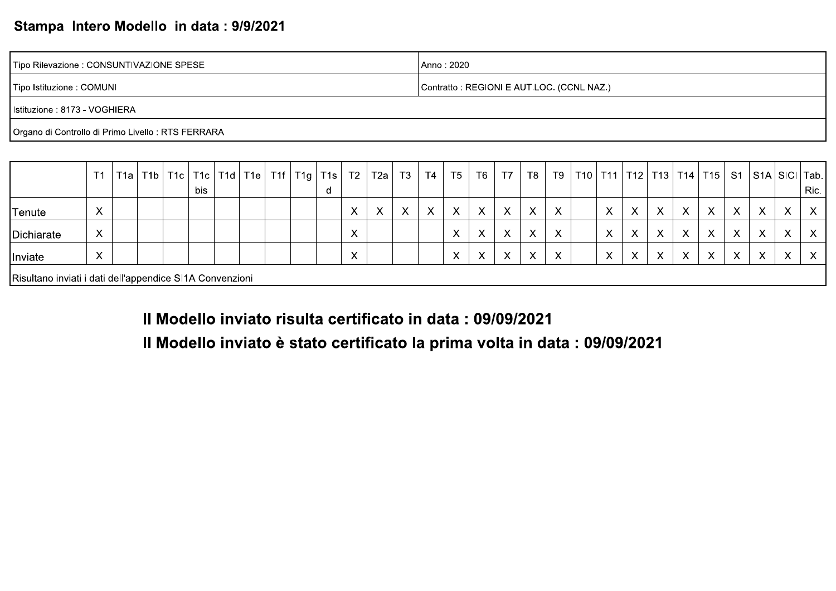#### Stampa Intero Modello in data: 9/9/2021

| Tipo Rilevazione : CONSUNTIVAZIONE SPESE           | Anno: 2020                                |
|----------------------------------------------------|-------------------------------------------|
| Tipo Istituzione : COMUNI                          | Contratto: REGIONI E AUT.LOC. (CCNL NAZ.) |
| Istituzione : 8173 - VOGHIERA                      |                                           |
| Organo di Controllo di Primo Livello : RTS FERRARA |                                           |

|                                                          | T <sub>1</sub>            | T1a  T1b | T1c |     | T1c   T1d   T1e |  | $TIf$ T <sub>1g</sub> | T1s | T <sub>2</sub>    | ' T2a <sub>i</sub> | T <sub>3</sub> | T4 | T <sub>5</sub>         | T <sub>6</sub>    | T7 | T8                        | T9 | T10 |                           | T11   T12   T13    |   |                           | T14   T15    | S <sub>1</sub> |                           |                           | S1A   SICI   Tab.  |
|----------------------------------------------------------|---------------------------|----------|-----|-----|-----------------|--|-----------------------|-----|-------------------|--------------------|----------------|----|------------------------|-------------------|----|---------------------------|----|-----|---------------------------|--------------------|---|---------------------------|--------------|----------------|---------------------------|---------------------------|--------------------|
|                                                          |                           |          |     | bis |                 |  |                       |     |                   |                    |                |    |                        |                   |    |                           |    |     |                           |                    |   |                           |              |                |                           |                           | Ric.               |
| Tenute                                                   | $\checkmark$<br>$\lambda$ |          |     |     |                 |  |                       |     | $\checkmark$<br>∧ | $\checkmark$       | X              | X  | $\checkmark$<br>$\sim$ | X                 | X  | $\checkmark$<br>$\lambda$ | X  |     | $\checkmark$<br>$\lambda$ | $\mathbf{v}$       | X | $\checkmark$<br>$\lambda$ | $\sqrt{}$    | X              | $\checkmark$<br>$\sim$    | $\sqrt{}$<br>$\lambda$    | $\checkmark$<br>v. |
| Dichiarate                                               | X                         |          |     |     |                 |  |                       |     |                   |                    |                |    | $\checkmark$           | X                 | Х  | $\boldsymbol{\mathsf{X}}$ | X  |     | X                         | $\checkmark$<br>v. | X | X                         | X            | X              | X                         | $\boldsymbol{\mathsf{X}}$ | X                  |
| Inviate                                                  | $\mathbf{v}$<br>$\lambda$ |          |     |     |                 |  |                       |     |                   |                    |                |    |                        | $\checkmark$<br>ㅅ | Х  | X                         | X  |     | $\checkmark$<br>ㅅ         | $\checkmark$       | X | X                         | $\mathbf{v}$ | X              | $\checkmark$<br>$\Lambda$ | $\mathbf{v}$<br>$\lambda$ |                    |
| Risultano inviati i dati dell'appendice SI1A Convenzioni |                           |          |     |     |                 |  |                       |     |                   |                    |                |    |                        |                   |    |                           |    |     |                           |                    |   |                           |              |                |                           |                           |                    |

Il Modello inviato risulta certificato in data : 09/09/2021

Il Modello inviato è stato certificato la prima volta in data : 09/09/2021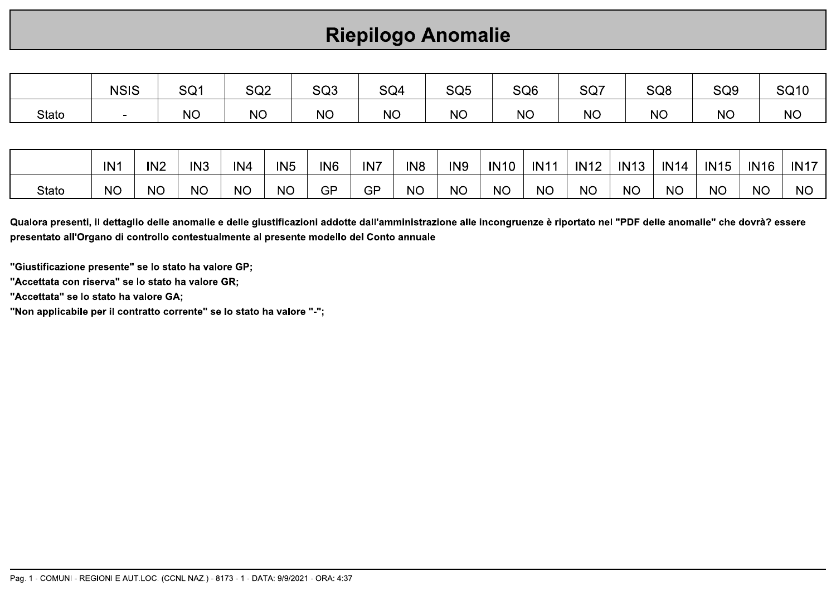# **Riepilogo Anomalie**

|       | <b>NSIS</b> | SQ1       | SQ <sub>2</sub> | SQ <sub>3</sub> | SQ4       | SQ <sub>5</sub> | SQ <sub>6</sub> | SQ7       | SQ <sub>8</sub> | SQ <sub>9</sub> | <b>SQ10</b> |
|-------|-------------|-----------|-----------------|-----------------|-----------|-----------------|-----------------|-----------|-----------------|-----------------|-------------|
| Stato | $\sim$      | <b>NO</b> | <b>NO</b>       | <b>NO</b>       | <b>NO</b> | <b>NO</b>       | <b>NO</b>       | <b>NO</b> | <b>NO</b>       | <b>NO</b>       | <b>NO</b>   |
|       |             |           |                 |                 |           |                 |                 |           |                 |                 |             |
|       |             |           |                 |                 |           |                 |                 |           |                 |                 |             |

|       | IN <sup>-</sup> | IN <sub>2</sub> | IN <sub>3</sub> | IN <sub>4</sub> | IN <sub>5</sub> | IN <sub>6</sub> | IN7 | IN <sub>8</sub> | IN <sub>9</sub> | <b>IN10</b> | <b>IN11</b> | <b>IN12</b> | <b>IN13</b> | IN14 | <b>IN15</b> | <b>IN16</b> | <b>IN17</b> |
|-------|-----------------|-----------------|-----------------|-----------------|-----------------|-----------------|-----|-----------------|-----------------|-------------|-------------|-------------|-------------|------|-------------|-------------|-------------|
| Stato | <b>NC</b>       | <b>NC</b>       | <b>NC</b>       | <b>NC</b>       | <b>NC</b>       | GP              | GP  | <b>NC</b>       | <b>NO</b>       | <b>NC</b>   | <b>NC</b>   | <b>NO</b>   | <b>NC</b>   | NC   | <b>NC</b>   | NC          | <b>NC</b>   |

Qualora presenti, il dettaglio delle anomalie e delle giustificazioni addotte dall'amministrazione alle incongruenze è riportato nel "PDF delle anomalie" che dovrà? essere presentato all'Organo di controllo contestualmente al presente modello del Conto annuale

"Giustificazione presente" se lo stato ha valore GP;

"Accettata con riserva" se lo stato ha valore GR;

"Accettata" se lo stato ha valore GA;

"Non applicabile per il contratto corrente" se lo stato ha valore "-";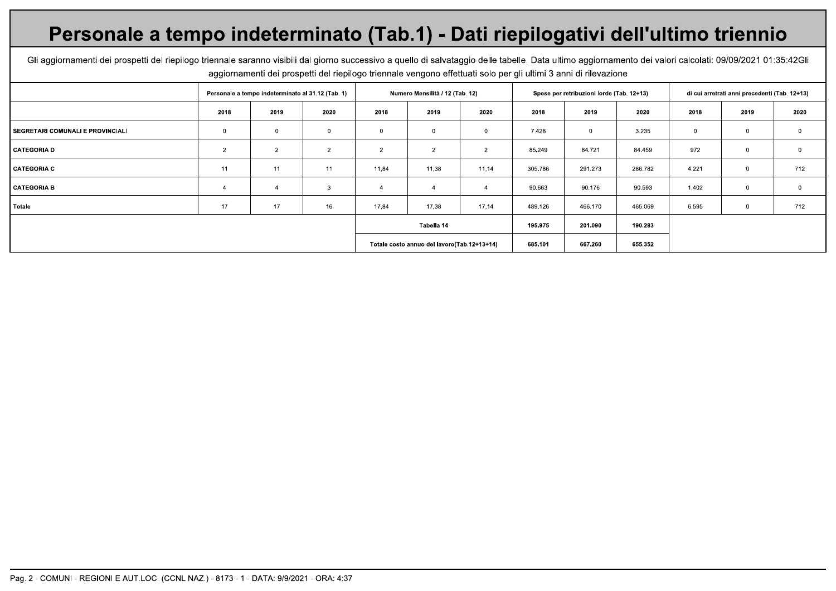# Personale a tempo indeterminato (Tab.1) - Dati riepilogativi dell'ultimo triennio

Gli aggiornamenti dei prospetti del riepilogo triennale saranno visibili dal giorno successivo a quello di salvataggio delle tabelle. Data ultimo aggiornamento dei valori calcolati: 09/09/2021 01:35:42Gli aggiornamenti dei prospetti del riepilogo triennale vengono effettuati solo per gli ultimi 3 anni di rilevazione

|                                         |                | Personale a tempo indeterminato al 31.12 (Tab. 1) |              |                | Numero Mensilità / 12 (Tab. 12)             |                |         | Spese per retribuzioni lorde (Tab. 12+13) |         |       | di cui arretrati anni precedenti (Tab. 12+13) |              |
|-----------------------------------------|----------------|---------------------------------------------------|--------------|----------------|---------------------------------------------|----------------|---------|-------------------------------------------|---------|-------|-----------------------------------------------|--------------|
|                                         | 2018           | 2019                                              | 2020         | 2018           | 2019                                        | 2020           | 2018    | 2019                                      | 2020    | 2018  | 2019                                          | 2020         |
| <b>SEGRETARI COMUNALI E PROVINCIALI</b> | $\mathbf 0$    | 0                                                 | $\mathbf 0$  | 0              | 0                                           | $\mathbf{0}$   | 7.428   | $\mathbf 0$                               | 3.235   |       | $\mathbf{0}$                                  | $\mathbf 0$  |
| CATEGORIA D                             | $\overline{2}$ | $\overline{2}$                                    | 2            | $\overline{2}$ | 2                                           | $\overline{2}$ | 85.249  | 84.721                                    | 84.459  | 972   | $\mathbf{0}$                                  | $\mathbf 0$  |
| <b>CATEGORIA C</b>                      | 11             | 11                                                | 11           | 11,84          | 11,38                                       | 11,14          | 305.786 | 291.273                                   | 286.782 | 4.221 | $\mathbf{0}$                                  | 712          |
| <b>CATEGORIA B</b>                      |                |                                                   | $\mathbf{3}$ | -4             |                                             | $\overline{4}$ | 90.663  | 90.176                                    | 90.593  | 1.402 | $\mathbf{0}$                                  | $\mathbf{0}$ |
| Totale                                  | 17             | 17                                                | 16           | 17,84          | 17,38                                       | 17,14          | 489.126 | 466.170                                   | 465.069 | 6.595 | $\mathbf 0$                                   | 712          |
|                                         |                |                                                   |              |                | Tabella 14                                  |                | 195.975 | 201.090                                   | 190.283 |       |                                               |              |
|                                         |                |                                                   |              |                | Totale costo annuo del lavoro(Tab.12+13+14) |                | 685.101 | 667.260                                   | 655.352 |       |                                               |              |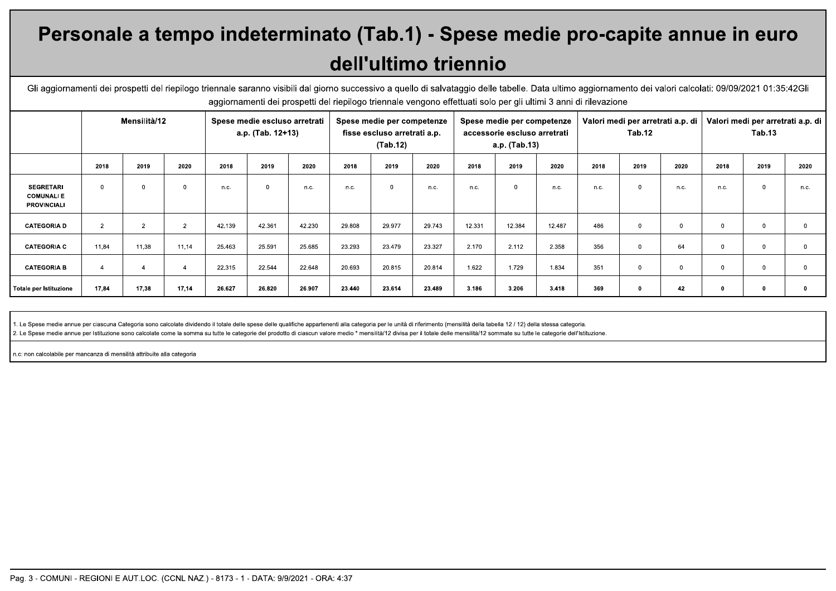# Personale a tempo indeterminato (Tab.1) - Spese medie pro-capite annue in euro dell'ultimo triennio

Gli aggiornamenti dei prospetti del riepilogo triennale saranno visibili dal giorno successivo a quello di salvataggio delle tabelle. Data ultimo aggiornamento dei valori calcolati: 09/09/2021 01:35:42Gli aggiornamenti dei prospetti del riepilogo triennale vengono effettuati solo per gli ultimi 3 anni di rilevazione

|                                                            |                | Mensilità/12   |                |        | Spese medie escluso arretrati<br>a.p. (Tab. 12+13) |        |        | Spese medie per competenze<br>fisse escluso arretrati a.p.<br>(Tab.12) |        |        | Spese medie per competenze<br>accessorie escluso arretrati<br>a.p. (Tab.13) |        |      | Valori medi per arretrati a.p. di<br>Tab.12 |          |          | Valori medi per arretrati a.p. di<br>Tab.13 |      |
|------------------------------------------------------------|----------------|----------------|----------------|--------|----------------------------------------------------|--------|--------|------------------------------------------------------------------------|--------|--------|-----------------------------------------------------------------------------|--------|------|---------------------------------------------|----------|----------|---------------------------------------------|------|
|                                                            | 2018           | 2019           | 2020           | 2018   | 2019                                               | 2020   | 2018   | 2019                                                                   | 2020   | 2018   | 2019                                                                        | 2020   | 2018 | 2019                                        | 2020     | 2018     | 2019                                        | 2020 |
| <b>SEGRETARI</b><br><b>COMUNALIE</b><br><b>PROVINCIALI</b> | 0              | $\mathbf 0$    | $\Omega$       | n.c.   | $\Omega$                                           | n.c.   | n.c.   | $\Omega$                                                               | n.c.   | n.c.   | $\Omega$                                                                    | n.c.   | n.c. | $\Omega$                                    | n.c.     | n.c.     | $\Omega$                                    | n.c. |
| <b>CATEGORIA D</b>                                         | $\overline{2}$ | $\overline{2}$ | $\overline{2}$ | 42.139 | 42.361                                             | 42.230 | 29,808 | 29.977                                                                 | 29.743 | 12.331 | 12.384                                                                      | 12.487 | 486  | $\Omega$                                    | $\Omega$ | $\Omega$ | $\Omega$                                    |      |
| <b>CATEGORIA C</b>                                         | 11,84          | 11,38          | 11,14          | 25.463 | 25.591                                             | 25.685 | 23.293 | 23.479                                                                 | 23.327 | 2.170  | 2.112                                                                       | 2.358  | 356  | $\Omega$                                    | 64       | $\Omega$ | $\Omega$                                    |      |
| <b>CATEGORIA B</b>                                         | $\overline{4}$ | $\overline{4}$ |                | 22.315 | 22.544                                             | 22.648 | 20.693 | 20.815                                                                 | 20.814 | 1.622  | 1.729                                                                       | 1.834  | 351  | $\Omega$                                    | $\Omega$ | $\Omega$ | $\Omega$                                    |      |
| Totale per Istituzione                                     | 17,84          | 17,38          | 17,14          | 26.627 | 26.820                                             | 26.907 | 23.440 | 23.614                                                                 | 23.489 | 3.186  | 3.206                                                                       | 3.418  | 369  | - 0                                         | 42       |          |                                             |      |

1. Le Spese medie annue per ciascuna Categoria sono calcolate dividendo il totale delle spese delle qualifiche appartenenti alla categoria per le unità di riferimento (mensilità della tabella 12 / 12) della stessa categori

2. Le Spese medie annue per Istituzione sono calcolate come la somma su tutte le categorie del prodotto di ciascun valore medio \* mensilità/12 divisa per il totale delle mensilità/12 sommate su tutte le categorie dell'Isti

n.c: non calcolabile per mancanza di mensilità attribuite alla categoria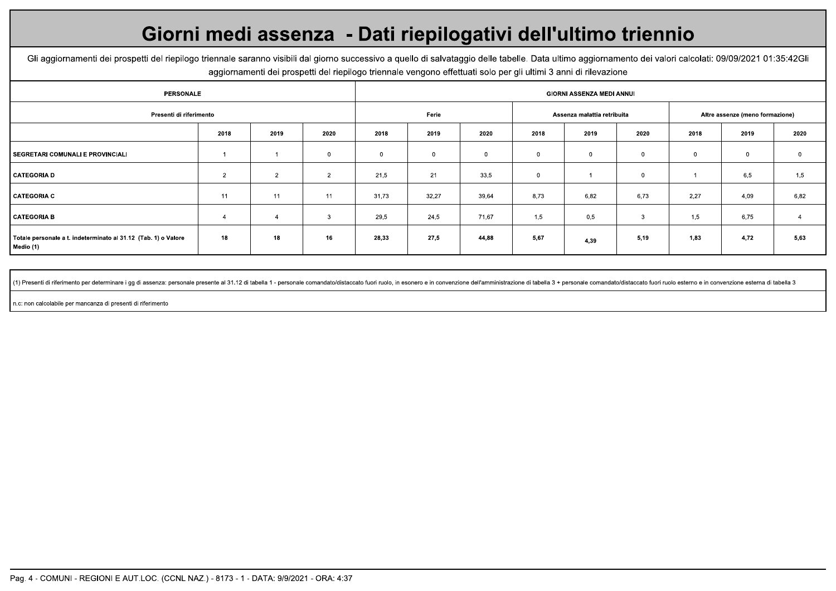# Giorni medi assenza - Dati riepilogativi dell'ultimo triennio

Gli aggiornamenti dei prospetti del riepilogo triennale saranno visibili dal giorno successivo a quello di salvataggio delle tabelle. Data ultimo aggiornamento dei valori calcolati: 09/09/2021 01:35:42Gli aggiornamenti dei prospetti del riepilogo triennale vengono effettuati solo per gli ultimi 3 anni di rilevazione

| <b>PERSONALE</b>                                                            |                |                |                |       |       |                |             | GIORNI ASSENZA MEDI ANNUI   |             |      |                                 |             |
|-----------------------------------------------------------------------------|----------------|----------------|----------------|-------|-------|----------------|-------------|-----------------------------|-------------|------|---------------------------------|-------------|
| Presenti di riferimento                                                     |                |                |                |       | Ferie |                |             | Assenza malattia retribuita |             |      | Altre assenze (meno formazione) |             |
|                                                                             | 2018           | 2019           | 2020           | 2018  | 2019  | 2020           | 2018        | 2019                        | 2020        | 2018 | 2019                            | 2020        |
| SEGRETARI COMUNALI E PROVINCIALI                                            |                |                | $\mathbf{0}$   | 0     |       | $\overline{0}$ | $\mathbf 0$ | $\mathbf 0$                 | $\mathbf 0$ |      | $\mathbf 0$                     | $\mathbf 0$ |
| CATEGORIA D                                                                 | $\overline{2}$ | $\overline{2}$ | $\overline{2}$ | 21,5  | 21    | 33,5           | $\mathbf 0$ |                             | $\mathbf 0$ |      | 6,5                             | 1,5         |
| <b>CATEGORIA C</b>                                                          | 11             | 11             | 11             | 31,73 | 32,27 | 39,64          | 8,73        | 6,82                        | 6,73        | 2,27 | 4,09                            | 6,82        |
| CATEGORIA B                                                                 | 4              | $\overline{4}$ | $\mathbf{3}$   | 29,5  | 24,5  | 71,67          | 1,5         | 0,5                         | 3           | 1,5  | 6,75                            | -4          |
| Totale personale a t. indeterminato al 31.12 (Tab. 1) o Valore<br>Medio (1) | 18             | 18             | 16             | 28,33 | 27,5  | 44,88          | 5,67        | 4,39                        | 5,19        | 1,83 | 4,72                            | 5,63        |

(1) Presenti di riferimento per determinare i gg di assenza: personale presente al 31.12 di tabella 1 - personale comandato/distaccato fuori ruolo, in esonero e in convenzione dell'amministrazione di tabella 3 + personale

n.c: non calcolabile per mancanza di presenti di riferimento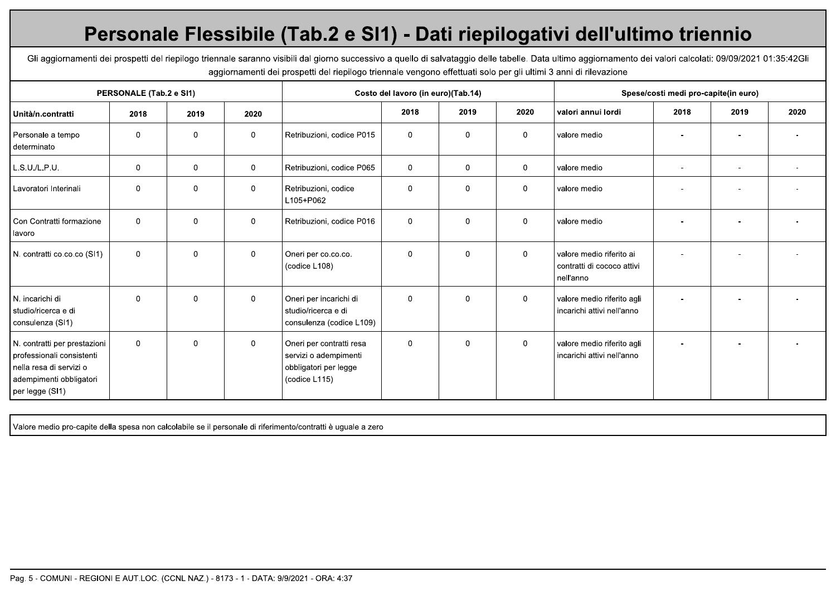# Personale Flessibile (Tab.2 e SI1) - Dati riepilogativi dell'ultimo triennio

Gli aggiornamenti dei prospetti del riepilogo triennale saranno visibili dal giorno successivo a quello di salvataggio delle tabelle. Data ultimo aggiornamento dei valori calcolati: 09/09/2021 01:35:42Gli aggiornamenti dei prospetti del riepilogo triennale vengono effettuati solo per gli ultimi 3 anni di rilevazione

|                                                                                                                                    | PERSONALE (Tab.2 e SI1) |             |                |                                                                                             | Costo del lavoro (in euro)(Tab.14) |              |             |                                                                     | Spese/costi medi pro-capite(in euro) |      |      |
|------------------------------------------------------------------------------------------------------------------------------------|-------------------------|-------------|----------------|---------------------------------------------------------------------------------------------|------------------------------------|--------------|-------------|---------------------------------------------------------------------|--------------------------------------|------|------|
| Unità/n.contratti                                                                                                                  | 2018                    | 2019        | 2020           |                                                                                             | 2018                               | 2019         | 2020        | valori annui lordi                                                  | 2018                                 | 2019 | 2020 |
| Personale a tempo<br>determinato                                                                                                   | $\mathbf 0$             | $\mathbf 0$ | $\mathbf{0}$   | Retribuzioni, codice P015                                                                   | $\mathbf 0$                        | $\mathbf{0}$ | $\mathbf 0$ | valore medio                                                        |                                      |      |      |
| L.S.U./L.P.U.                                                                                                                      | $\mathbf 0$             | $\mathbf 0$ | $\mathbf 0$    | Retribuzioni, codice P065                                                                   | $\mathbf 0$                        | $\mathbf 0$  | $\mathbf 0$ | valore medio                                                        | $\overline{a}$                       |      |      |
| Lavoratori Interinali                                                                                                              | $\mathbf 0$             | $\mathbf 0$ | $\mathbf 0$    | Retribuzioni, codice<br>L105+P062                                                           | $\mathbf 0$                        | 0            | $\mathbf 0$ | valore medio                                                        |                                      |      |      |
| Con Contratti formazione<br>lavoro                                                                                                 | $\overline{0}$          | $\mathbf 0$ | $\mathbf 0$    | Retribuzioni, codice P016                                                                   | $\mathbf 0$                        | 0            | $\mathbf 0$ | valore medio                                                        |                                      |      |      |
| N. contratti co.co.co (SI1)                                                                                                        | $\Omega$                | $\Omega$    | $\mathbf{0}$   | Oneri per co.co.co.<br>(codice L108)                                                        | $\Omega$                           | $\Omega$     | $\mathbf 0$ | valore medio riferito ai<br>contratti di cococo attivi<br>nell'anno |                                      |      |      |
| N. incarichi di<br>studio/ricerca e di<br>consulenza (SI1)                                                                         | $\Omega$                | $\mathbf 0$ | $\overline{0}$ | Oneri per incarichi di<br>studio/ricerca e di<br>consulenza (codice L109)                   | $\mathbf 0$                        | 0            | $\mathbf 0$ | valore medio riferito agli<br>incarichi attivi nell'anno            |                                      |      |      |
| N. contratti per prestazioni<br>professionali consistenti<br>nella resa di servizi o<br>adempimenti obbligatori<br>per legge (SI1) | $\mathbf 0$             | 0           | $\mathbf 0$    | Oneri per contratti resa<br>servizi o adempimenti<br>obbligatori per legge<br>(codice L115) | $\mathbf 0$                        | $\mathbf{0}$ | $\mathbf 0$ | valore medio riferito agli<br>incarichi attivi nell'anno            |                                      |      |      |

Valore medio pro-capite della spesa non calcolabile se il personale di riferimento/contratti è uguale a zero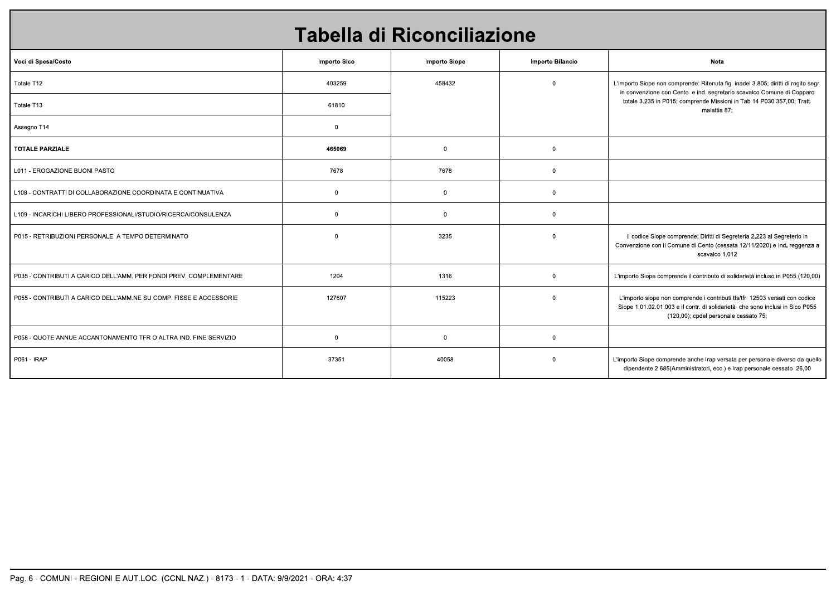|                                                                    |                | Tabella di Riconciliazione |                  |                                                                                                                                                                                                       |
|--------------------------------------------------------------------|----------------|----------------------------|------------------|-------------------------------------------------------------------------------------------------------------------------------------------------------------------------------------------------------|
| Voci di Spesa/Costo                                                | Importo Sico   | <b>Importo Siope</b>       | Importo Bilancio | Nota                                                                                                                                                                                                  |
| Totale T12                                                         | 403259         | 458432                     | $\mathbf 0$      | L'importo Siope non comprende: Ritenuta fig. inadel 3.805; diritti di rogito segr.<br>in convenzione con Cento e ind. segretario scavalco Comune di Copparo                                           |
| Totale T13                                                         | 61810          |                            |                  | totale 3.235 in P015; comprende Missioni in Tab 14 P030 357,00; Tratt.<br>malattia 87;                                                                                                                |
| Assegno T14                                                        | $\overline{0}$ |                            |                  |                                                                                                                                                                                                       |
| <b>TOTALE PARZIALE</b>                                             | 465069         | $\overline{0}$             | $\overline{0}$   |                                                                                                                                                                                                       |
| L011 - EROGAZIONE BUONI PASTO                                      | 7678           | 7678                       | $\mathbf{0}$     |                                                                                                                                                                                                       |
| L108 - CONTRATTI DI COLLABORAZIONE COORDINATA E CONTINUATIVA       | $\overline{0}$ | $\overline{0}$             | $\mathbf 0$      |                                                                                                                                                                                                       |
| L109 - INCARICHI LIBERO PROFESSIONALI/STUDIO/RICERCA/CONSULENZA    | $\overline{0}$ | $\overline{0}$             | $\mathbf 0$      |                                                                                                                                                                                                       |
| P015 - RETRIBUZIONI PERSONALE A TEMPO DETERMINATO                  | $\overline{0}$ | 3235                       | $\mathbf 0$      | Il codice Siope comprende: Diritti di Segreteria 2.223 al Segreterio in<br>Convenzione con il Comune di Cento (cessata 12/11/2020) e Ind. reggenza a<br>scavalco 1.012                                |
| P035 - CONTRIBUTI A CARICO DELL'AMM. PER FONDI PREV. COMPLEMENTARE | 1204           | 1316                       | $\mathbf 0$      | L'importo Siope comprende il contributo di solidarietà incluso in P055 (120,00)                                                                                                                       |
| P055 - CONTRIBUTI A CARICO DELL'AMM.NE SU COMP. FISSE E ACCESSORIE | 127607         | 115223                     | $\mathsf{O}$     | L'importo siope non comprende i contributi tfs/tfr 12503 versati con codice<br>Siope 1.01.02.01.003 e il contr. di solidarietà che sono inclusi in Sico P055<br>(120,00); cpdel personale cessato 75; |
| P058 - QUOTE ANNUE ACCANTONAMENTO TFR O ALTRA IND. FINE SERVIZIO   | $\overline{0}$ | $\overline{0}$             | $\overline{0}$   |                                                                                                                                                                                                       |
| P061 - IRAP                                                        | 37351          | 40058                      | $\overline{0}$   | L'importo Siope comprende anche Irap versata per personale diverso da quello<br>dipendente 2.685(Amministratori, ecc.) e Irap personale cessato 26,00                                                 |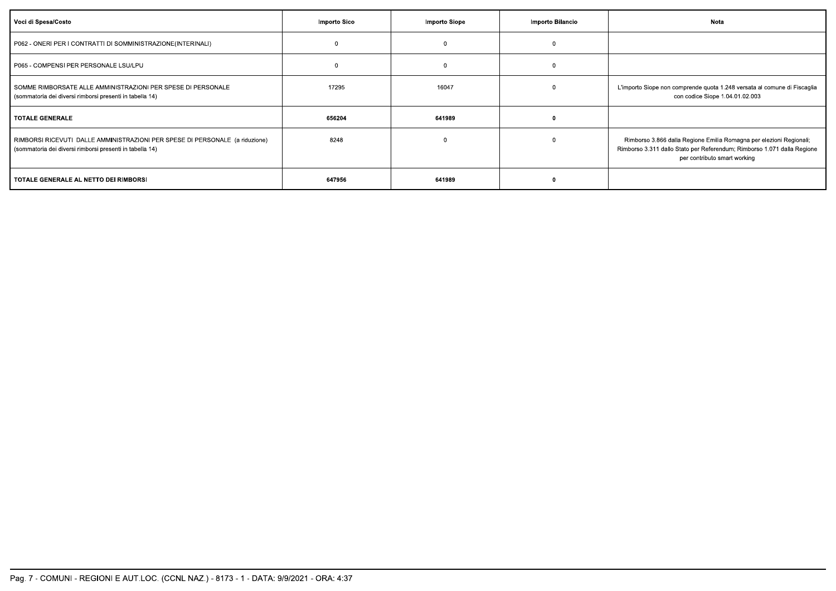| Voci di Spesa/Costo                                                                                                                      | Importo Sico | <b>Importo Siope</b> | Importo Bilancio | Nota                                                                                                                                                                           |
|------------------------------------------------------------------------------------------------------------------------------------------|--------------|----------------------|------------------|--------------------------------------------------------------------------------------------------------------------------------------------------------------------------------|
| P062 - ONERI PER I CONTRATTI DI SOMMINISTRAZIONE(INTERINALI)                                                                             |              | $\mathbf{0}$         |                  |                                                                                                                                                                                |
| P065 - COMPENSI PER PERSONALE LSU/LPU                                                                                                    |              |                      |                  |                                                                                                                                                                                |
| SOMME RIMBORSATE ALLE AMMINISTRAZIONI PER SPESE DI PERSONALE<br>(sommatoria dei diversi rimborsi presenti in tabella 14)                 | 17295        | 16047                |                  | L'importo Siope non comprende quota 1.248 versata al comune di Fiscaglia<br>con codice Siope 1.04.01.02.003                                                                    |
| I TOTALE GENERALE                                                                                                                        | 656204       | 641989               |                  |                                                                                                                                                                                |
| RIMBORSI RICEVUTI DALLE AMMINISTRAZIONI PER SPESE DI PERSONALE (a riduzione)<br>(sommatoria dei diversi rimborsi presenti in tabella 14) | 8248         |                      |                  | Rimborso 3.866 dalla Regione Emilia Romagna per elezioni Regionali;<br>Rimborso 3.311 dallo Stato per Referendum; Rimborso 1.071 dalla Regione<br>per contributo smart working |
| TOTALE GENERALE AL NETTO DEI RIMBORSI                                                                                                    | 647956       | 641989               |                  |                                                                                                                                                                                |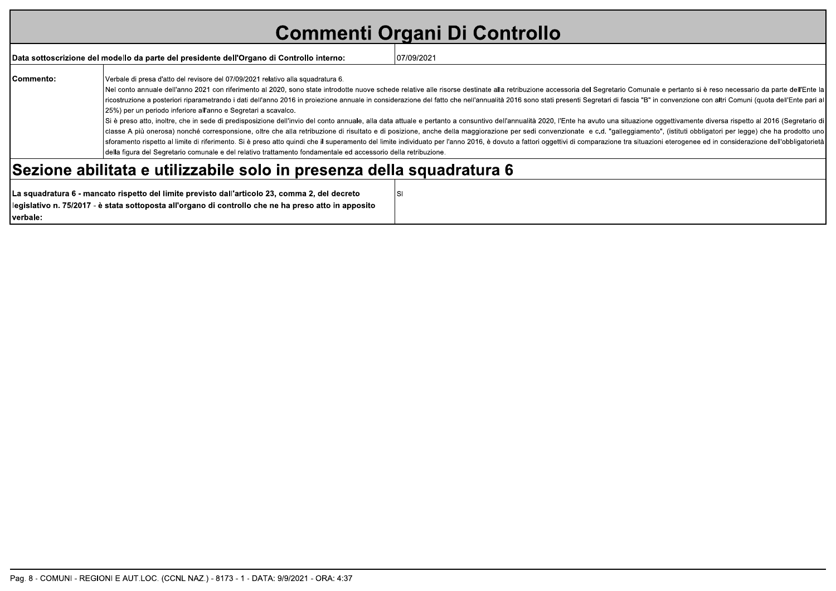# **Commenti Organi Di Controllo**

|           | Data sottoscrizione del modello da parte del presidente dell'Organo di Controllo interno:                                                                                                                                                                             | 07/09/2021                                                                                                                                                                                                                                                                                                                                                                                                                                                                                                                                                                                                                                                                                                                                                                                                                                                                                                                                                                                                                                                                                                                                                             |
|-----------|-----------------------------------------------------------------------------------------------------------------------------------------------------------------------------------------------------------------------------------------------------------------------|------------------------------------------------------------------------------------------------------------------------------------------------------------------------------------------------------------------------------------------------------------------------------------------------------------------------------------------------------------------------------------------------------------------------------------------------------------------------------------------------------------------------------------------------------------------------------------------------------------------------------------------------------------------------------------------------------------------------------------------------------------------------------------------------------------------------------------------------------------------------------------------------------------------------------------------------------------------------------------------------------------------------------------------------------------------------------------------------------------------------------------------------------------------------|
| Commento: | Verbale di presa d'atto del revisore del 07/09/2021 relativo alla squadratura 6.<br>(25%) per un periodo inferiore all'anno e Segretari a scavalco.<br>della figura del Segretario comunale e del relativo trattamento fondamentale ed accessorio della retribuzione. | Nel conto annuale dell'anno 2021 con riferimento al 2020, sono state introdotte nuove schede relative alle risorse destinate alla retribuzione accessoria del Segretario Comunale e pertanto si è reso necessario da parte del<br>ricostruzione a posteriori riparametrando i dati dell'anno 2016 in proiezione annuale in considerazione del fatto che nell'annualità 2016 sono stati presenti Segretari di fascia "B" in convenzione con altri Comuni (quota d<br>Si è preso atto, inoltre, che in sede di predisposizione dell'invio del conto annuale, alla data attuale e pertanto a consuntivo dell'annualità 2020, l'Ente ha avuto una situazione oggettivamente diversa rispetto al 2016 (<br>classe A più onerosa) nonché corresponsione, oltre che alla retribuzione di risultato e di posizione, anche della maggiorazione per sedi convenzionate e c.d. "galleggiamento", (istituti obbligatori per legge) che ha prodot<br>Sforamento rispetto al limite di riferimento. Si è preso atto quindi che il superamento del limite individuato per l'anno 2016, è dovuto a fattori oggettivi di comparazione tra situazioni eterogenee ed in considerazione de |
|           | Sezione abilitata e utilizzabile solo in presenza della squadratura 6                                                                                                                                                                                                 |                                                                                                                                                                                                                                                                                                                                                                                                                                                                                                                                                                                                                                                                                                                                                                                                                                                                                                                                                                                                                                                                                                                                                                        |

| LLa squadratura 6 - mancato rispetto del limite previsto dall'articolo 23, comma 2, del decreto      |  |
|------------------------------------------------------------------------------------------------------|--|
| legislativo n. 75/2017 - è stata sottoposta all'organo di controllo che ne ha preso atto in apposito |  |
| Iverbale:                                                                                            |  |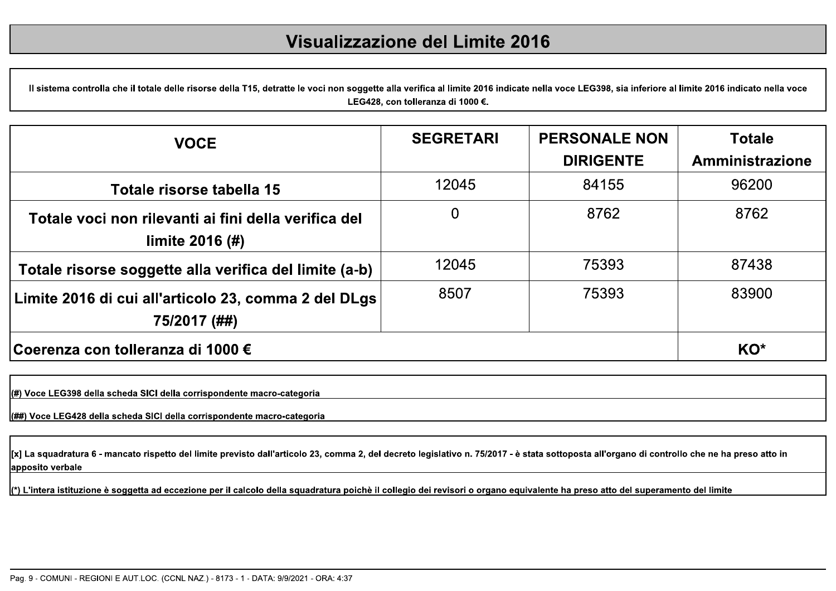#### Visualizzazione del Limite 2016

Il sistema controlla che il totale delle risorse della T15, detratte le voci non soggette alla verifica al limite 2016 indicate nella voce LEG398, sia inferiore al limite 2016 indicato nella voce LEG428, con tolleranza di 1000 €.

| <b>VOCE</b>                                                               | <b>SEGRETARI</b> | <b>PERSONALE NON</b> | <b>Totale</b>   |
|---------------------------------------------------------------------------|------------------|----------------------|-----------------|
|                                                                           |                  | <b>DIRIGENTE</b>     | Amministrazione |
| Totale risorse tabella 15                                                 | 12045            | 84155                | 96200           |
| Totale voci non rilevanti ai fini della verifica del<br>limite $2016$ (#) | $\overline{0}$   | 8762                 | 8762            |
| Totale risorse soggette alla verifica del limite (a-b)                    | 12045            | 75393                | 87438           |
| Limite 2016 di cui all'articolo 23, comma 2 del DLgs<br>75/2017 (##)      | 8507             | 75393                | 83900           |
| Coerenza con tolleranza di 1000 €                                         |                  |                      | KO*             |

(#) Voce LEG398 della scheda SICI della corrispondente macro-categoria

(##) Voce LEG428 della scheda SICI della corrispondente macro-categoria

[x] La squadratura 6 - mancato rispetto del limite previsto dall'articolo 23, comma 2, del decreto legislativo n. 75/2017 - è stata sottoposta all'organo di controllo che ne ha preso atto in apposito verbale

(\*) L'intera istituzione è soggetta ad eccezione per il calcolo della squadratura poichè il collegio dei revisori o organo equivalente ha preso atto del superamento del limite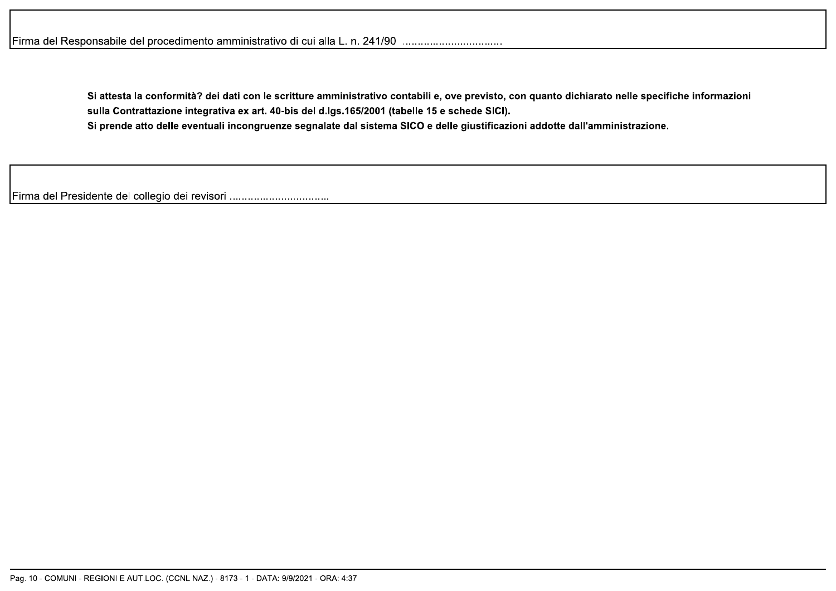Si attesta la conformità? dei dati con le scritture amministrativo contabili e, ove previsto, con quanto dichiarato nelle specifiche informazioni sulla Contrattazione integrativa ex art. 40-bis del d.lgs.165/2001 (tabelle 15 e schede SICI). Si prende atto delle eventuali incongruenze segnalate dal sistema SICO e delle giustificazioni addotte dall'amministrazione.

Firma del Presidente del collegio dei revisori .................................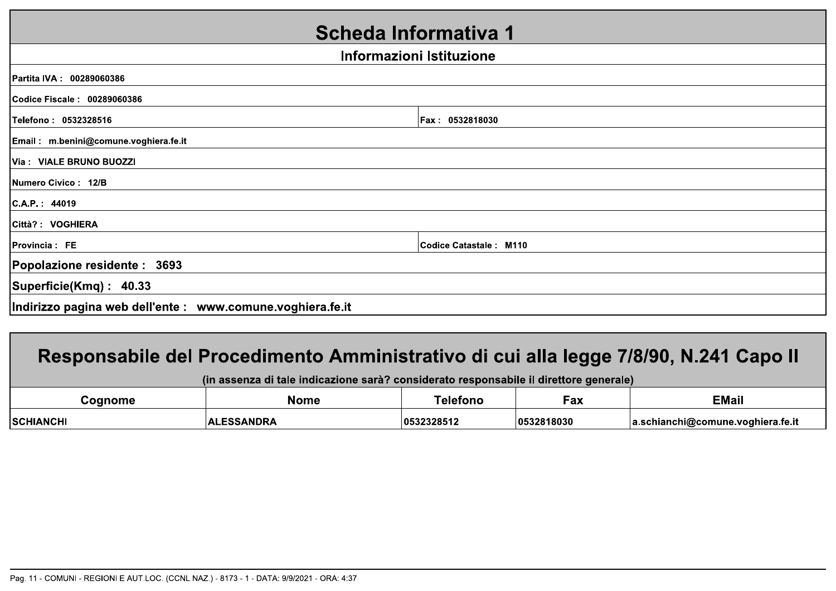| <b>Scheda Informativa 1</b>                                |                          |
|------------------------------------------------------------|--------------------------|
|                                                            | Informazioni Istituzione |
| Partita IVA: 00289060386                                   |                          |
| Codice Fiscale: 00289060386                                |                          |
| Telefono: 0532328516                                       | Fax: 0532818030          |
| Email: m.benini@comune.voghiera.fe.it                      |                          |
| Via: VIALE BRUNO BUOZZI                                    |                          |
| <b>INumero Civico: 12/B</b>                                |                          |
| C.A.P. : 44019                                             |                          |
| Città? : VOGHIERA                                          |                          |
| Provincia: FE                                              | Codice Catastale: M110   |
| Popolazione residente : 3693                               |                          |
| Superficie(Kmq): 40.33                                     |                          |
| Indirizzo pagina web dell'ente : www.comune.voghiera.fe.it |                          |

### Responsabile del Procedimento Amministrativo di cui alla legge 7/8/90, N.241 Capo II

| (in assenza di tale indicazione sarà? considerato responsabile il direttore generale) |                   |            |             |                                   |
|---------------------------------------------------------------------------------------|-------------------|------------|-------------|-----------------------------------|
| Coanome                                                                               | Nome              | Telefono   | Fax         | <b>EMail</b>                      |
| <b>SCHIANCHI</b>                                                                      | <b>ALESSANDRA</b> | 0532328512 | 10532818030 | a.schianchi@comune.voghiera.fe.it |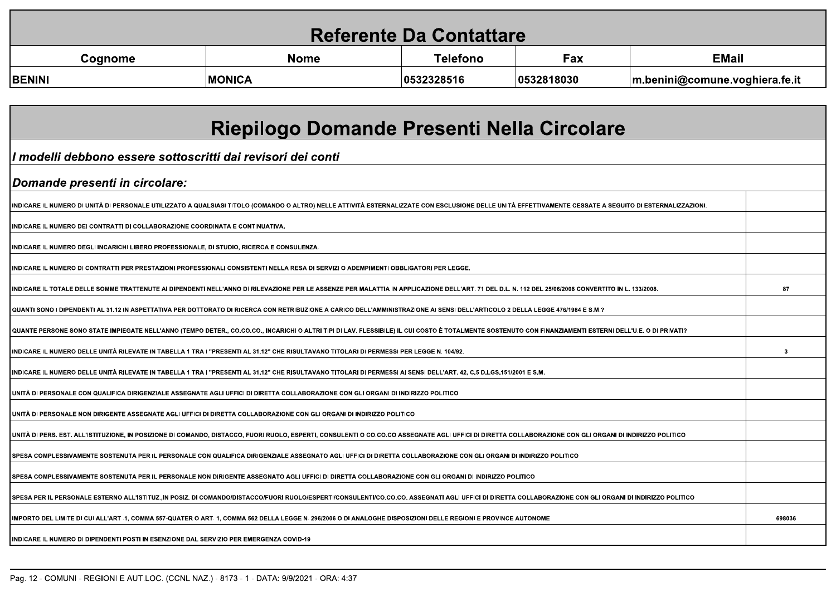| <b>Referente Da Contattare</b> |               |                 |            |                                        |
|--------------------------------|---------------|-----------------|------------|----------------------------------------|
| Cognome                        | <b>Nome</b>   | <b>Telefono</b> | Fax        | <b>EMail</b>                           |
| <b>BENINI</b>                  | <b>MONICA</b> | 0532328516      | 0532818030 | $\vert$ m.benini@comune.voghiera.fe.it |

| Riepilogo Domande Presenti Nella Circolare                                                                                                                                                                  |        |
|-------------------------------------------------------------------------------------------------------------------------------------------------------------------------------------------------------------|--------|
| I modelli debbono essere sottoscritti dai revisori dei conti                                                                                                                                                |        |
| <i><b> Domande presenti in circolare:</b></i>                                                                                                                                                               |        |
| INDICARE IL NUMERO DI UNITÀ DI PERSONALE UTILIZZATO A QUALSIASI TITOLO (COMANDO O ALTRO) NELLE ATTIVITÀ ESTERNALIZZATE CON ESCLUSIONE DELLE UNITÀ EFFETTIVAMENTE CESSATE A SEGUITO DI ESTERNALIZZAZIONI.    |        |
| INDICARE IL NUMERO DEI CONTRATTI DI COLLABORAZIONE COORDINATA E CONTINUATIVA.                                                                                                                               |        |
| <u>INDICARE IL NUMERO DEGLI INCARICHI LIBERO PROFESSIONALE, DI STUDIO, RICERCA E CONSULENZA.</u>                                                                                                            |        |
| INDICARE IL NUMERO DI CONTRATTI PER PRESTAZIONI PROFESSIONALI CONSISTENTI NELLA RESA DI SERVIZI O ADEMPIMENTI OBBLIGATORI PER LEGGE.                                                                        |        |
| INDICARE IL TOTALE DELLE SOMME TRATTENUTE AI DIPENDENTI NELL'ANNO DI RILEVAZIONE PER LE ASSENZE PER MALATTIA IN APPLICAZIONE DELL'ART. 71 DEL D.L. N. 112 DEL 25/06/2008 CONVERTITO IN L. 133/2008.         | 87     |
| QUANTI SONO I DIPENDENTI AL 31.12 IN ASPETTATIVA PER DOTTORATO DI RICERCA CON RETRIBUZIONE A CARICO DELL'AMMINISTRAZIONE AI SENSI DELL'ARTICOLO 2 DELLA LEGGE 476/1984 E S.M.?                              |        |
| QUANTE PERSONE SONO STATE IMPIEGATE NELL'ANNO (TEMPO DETER., CO.CO.CO., INCARICHI O ALTRI TIPI DI LAV. FLESSIBILE) IL CUI COSTO È TOTALMENTE SOSTENUTO CON FINANZIAMENTI ESTERNI DELL'U.E. O DI PRIVATI?    |        |
| INDICARE IL NUMERO DELLE UNITÀ RILEVATE IN TABELLA 1 TRA I "PRESENTI AL 31.12" CHE RISULTAVANO TITOLARI DI PERMESSI PER LEGGE N. 104/92.                                                                    | 3      |
| INDICARE IL NUMERO DELLE UNITÀ RILEVATE IN TABELLA 1 TRA I "PRESENTI AL 31.12" CHE RISULTAVANO TITOLARI DI PERMESSI AI SENSI DELL'ART. 42, C.5 D.LGS.151/2001 E S.M.                                        |        |
| UNITÀ DI PERSONALE CON QUALIFICA DIRIGENZIALE ASSEGNATE AGLI UFFICI DI DIRETTA COLLABORAZIONE CON GLI ORGANI DI INDIRIZZO POLITICO                                                                          |        |
| UNITÀ DI PERSONALE NON DIRIGENTE ASSEGNATE AGLI UFFICI DI DIRETTA COLLABORAZIONE CON GLI ORGANI DI INDIRIZZO POLITICO                                                                                       |        |
| UNITA DI PERS. EST. ALL'ISTITUZIONE, IN POSIZIONE DI COMANDO, DISTACCO, FUORI RUOLO, ESPERTI, CONSULENTI O CO.CO.CO ASSEGNATE AGLI UFFICI DI DIRETTA COLLABORAZIONE CON GLI ORGANI DI INDIRIZZO POLITICO    |        |
| SPESA COMPLESSIVAMENTE SOSTENUTA PER IL PERSONALE CON QUALIFICA DIRIGENZIALE ASSEGNATO AGLI UFFICI DI DIRETTA COLLABORAZIONE CON GLI ORGANI DI INDIRIZZO POLITICO                                           |        |
| SPESA COMPLESSIVAMENTE SOSTENUTA PER IL PERSONALE NON DIRIGENTE ASSEGNATO AGLI UFFICI DI DIRETTA COLLABORAZIONE CON GLI ORGANI DI INDIRIZZO POLITICO                                                        |        |
| SPESA PER IL PERSONALE ESTERNO ALL'ISTITUZ.,IN POSIZ. DI COMANDO/DISTACCO/FUORI RUOLO/ESPERTI/CONSULENTI/CO.CO.CO. ASSEGNATI AGLI UFFICI DI DIRETTA COL<br>ABORAZIONE CON GLI ORGANI DI INDIRIZZO POLITICO. |        |
| IMPORTO DEL LIMITE DI CUI ALL'ART .1. COMMA 557-QUATER O ART. 1. COMMA 562 DELLA LEGGE N. 296/2006 O DI ANALOGHE DISPOSIZIONI DELLE REGIONI E PROVINCE AUTONOME                                             | 698036 |
| INDICARE IL NUMERO DI DIPENDENTI POSTI IN ESENZIONE DAL SERVIZIO PER EMERGENZA COVID-19                                                                                                                     |        |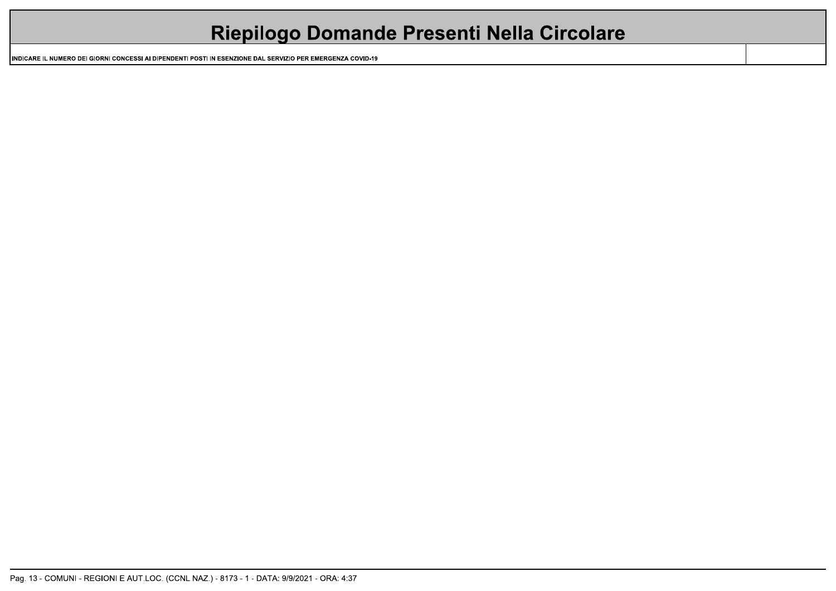| <b>Riepilogo Domande Presenti Nella Circolare</b> |
|---------------------------------------------------|
|                                                   |

INDICARE IL NUMERO DEI GIORNI CONCESSI AI DIPENDENTI POSTI IN ESENZIONE DAL SERVIZIO PER EMERGENZA COVID-19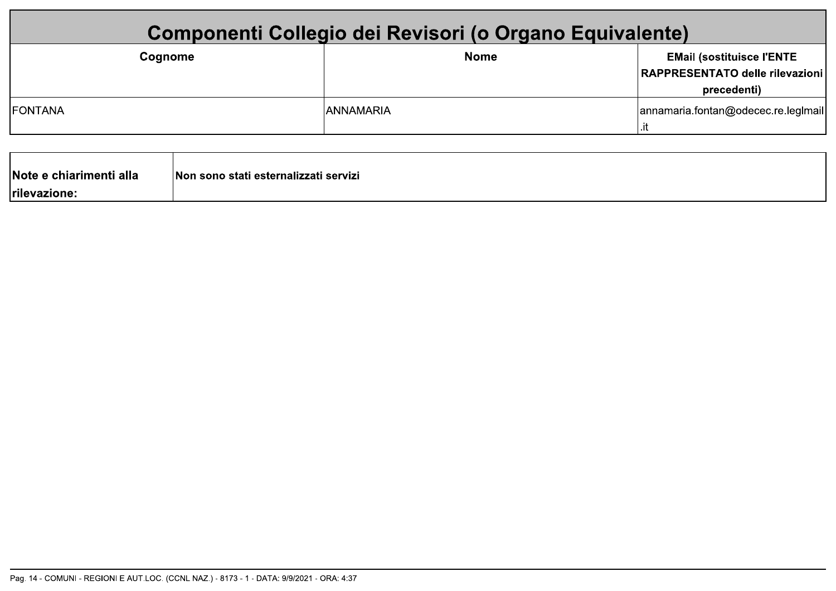| Componenti Collegio dei Revisori (o Organo Equivalente) |                  |                                                                                    |
|---------------------------------------------------------|------------------|------------------------------------------------------------------------------------|
| Cognome                                                 | <b>Nome</b>      | <b>EMail (sostituisce l'ENTE</b><br>RAPPRESENTATO delle rilevazioni<br>precedenti) |
| <b>FONTANA</b>                                          | <b>ANNAMARIA</b> | annamaria.fontan@odecec.re.leglmail                                                |
|                                                         |                  |                                                                                    |

Non sono stati esternalizzati servizi

Note e chiarimenti alla

rilevazione: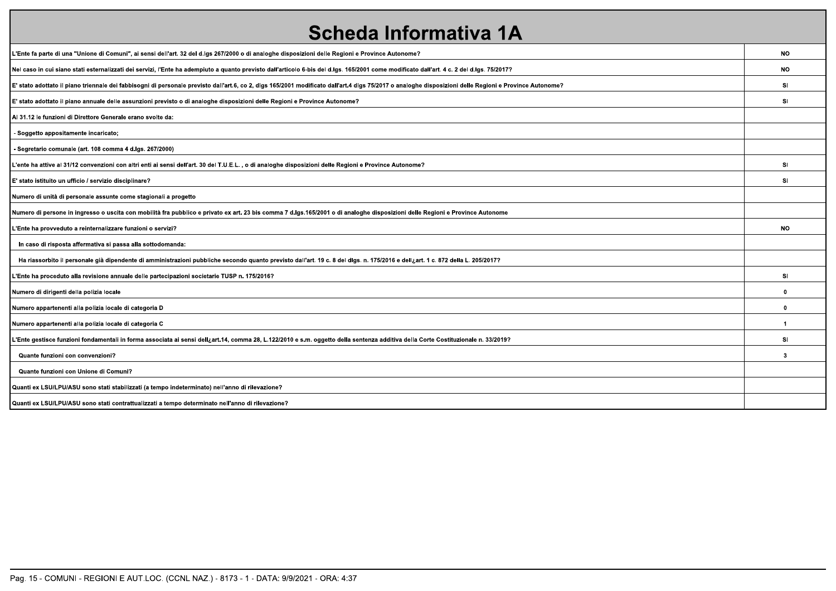| <b>Scheda Informativa 1A</b>                                                                                                                                                                            |              |
|---------------------------------------------------------------------------------------------------------------------------------------------------------------------------------------------------------|--------------|
| L'Ente fa parte di una "Unione di Comuni", ai sensi dell'art. 32 del d.lgs 267/2000 o di analoghe disposizioni delle Regioni e Province Autonome?                                                       | <b>NO</b>    |
| Nel caso in cui siano stati esternalizzati dei servizi, l'Ente ha adempiuto a quanto previsto dall'articolo 6-bis del d.lgs. 165/2001 come modificato dall'art. 4 c. 2 del d.lgs. 75/2017?              | <b>NO</b>    |
| E' stato adottato il piano triennale dei fabbisogni di personale previsto dall'art.6, co 2, dlgs 165/2001 modificato dall'art.4 dlgs 75/2017 o analoghe disposizioni delle Regioni e Province Autonome? | <b>SI</b>    |
| E' stato adottato il piano annuale delle assunzioni previsto o di analoghe disposizioni delle Regioni e Province Autonome?                                                                              | <b>SI</b>    |
| Al 31.12 le funzioni di Direttore Generale erano svolte da:                                                                                                                                             |              |
| Soggetto appositamente incaricato;                                                                                                                                                                      |              |
| Segretario comunale (art. 108 comma 4 d.lgs. 267/2000)                                                                                                                                                  |              |
| L'ente ha attive al 31/12 convenzioni con altri enti ai sensi dell'art. 30 del T.U.E.L., o di analoghe disposizioni delle Regioni e Province Autonome?                                                  | <b>SI</b>    |
| E' stato istituito un ufficio / servizio disciplinare?                                                                                                                                                  | <b>SI</b>    |
| Numero di unità di personale assunte come stagionali a progetto                                                                                                                                         |              |
| Numero di persone in ingresso o uscita con mobilità fra pubblico e privato ex art. 23 bis comma 7 d.lgs.165/2001 o di analoghe disposizioni delle Regioni e Province Autonome                           |              |
| L'Ente ha provveduto a reinternalizzare funzioni o servizi?                                                                                                                                             | <b>NO</b>    |
| In caso di risposta affermativa si passa alla sottodomanda:                                                                                                                                             |              |
| Ha riassorbito il personale già dipendente di amministrazioni pubbliche secondo quanto previsto dall'art. 19 c. 8 del digs. n. 175/2016 e dell <sub>c</sub> art. 1 c. 872 della L. 205/2017?            |              |
| L'Ente ha proceduto alla revisione annuale delle partecipazioni societarie TUSP n. 175/2016?                                                                                                            | <b>SI</b>    |
| Numero di dirigenti della polizia locale                                                                                                                                                                | 0            |
| Numero appartenenti alla polizia locale di categoria D                                                                                                                                                  | 0            |
| Numero appartenenti alla polizia locale di categoria C                                                                                                                                                  | $\mathbf{1}$ |
| L'Ente gestisce funzioni fondamentali in forma associata ai sensi dell¿art.14, comma 28, L.122/2010 e s.m. oggetto della sentenza additiva della Corte Costituzionale n. 33/2019?                       | SI           |
| Quante funzioni con convenzioni?                                                                                                                                                                        | 3            |
| Quante funzioni con Unione di Comuni?                                                                                                                                                                   |              |
| Quanti ex LSU/LPU/ASU sono stati stabilizzati (a tempo indeterminato) nell'anno di rilevazione?                                                                                                         |              |
| Quanti ex LSU/LPU/ASU sono stati contrattualizzati a tempo determinato nell'anno di rilevazione?                                                                                                        |              |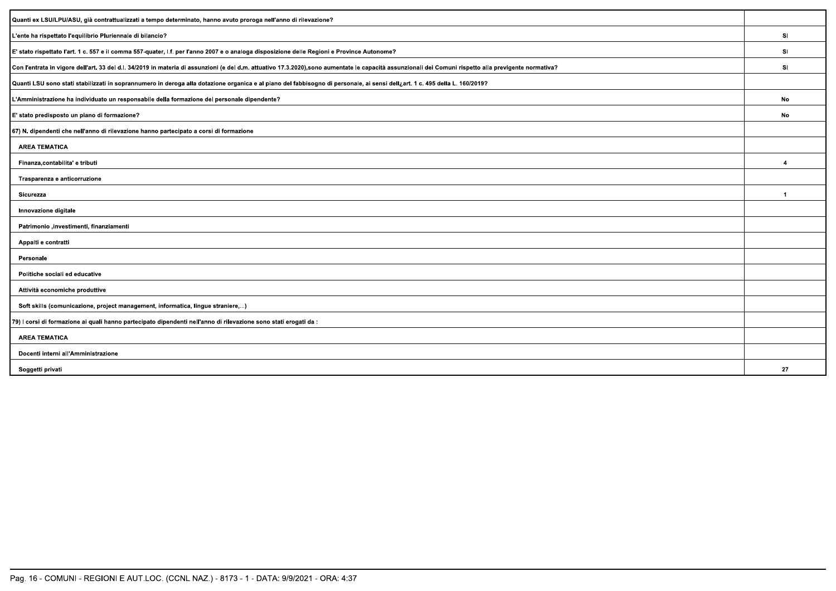| Quanti ex LSU/LPU/ASU, già contrattualizzati a tempo determinato, hanno avuto proroga nell'anno di rilevazione?                                                                                        |                |
|--------------------------------------------------------------------------------------------------------------------------------------------------------------------------------------------------------|----------------|
| L'ente ha rispettato l'equilibrio Pluriennale di bilancio?                                                                                                                                             | SI.            |
| E' stato rispettato l'art. 1 c. 557 e il comma 557-quater, l.f. per l'anno 2007 e o analoga disposizione delle Regioni e Province Autonome?                                                            | SI             |
| Con l'entrata in vigore dell'art. 33 del d.l. 34/2019 in materia di assunzioni (e del d.m. attuativo 17.3.2020),sono aumentate le capacità assunzionali dei Comuni rispetto alla previgente normativa? | -SI.           |
| Quanti LSU sono stati stabilizzati in soprannumero in deroga alla dotazione organica e al piano del fabbisogno di personale, ai sensi dell¿art. 1 c. 495 della L. 160/2019?                            |                |
| L'Amministrazione ha individuato un responsabile della formazione del personale dipendente?                                                                                                            | No             |
| E' stato predisposto un piano di formazione?                                                                                                                                                           | No             |
| 67) N. dipendenti che nell'anno di rilevazione hanno partecipato a corsi di formazione                                                                                                                 |                |
| <b>AREA TEMATICA</b>                                                                                                                                                                                   |                |
| Finanza, contabilita' e tributi                                                                                                                                                                        | $\overline{4}$ |
| Trasparenza e anticorruzione                                                                                                                                                                           |                |
| Sicurezza                                                                                                                                                                                              | -1             |
| Innovazione digitale                                                                                                                                                                                   |                |
| Patrimonio ,investimenti, finanziamenti                                                                                                                                                                |                |
| Appalti e contratti                                                                                                                                                                                    |                |
| Personale                                                                                                                                                                                              |                |
| Politiche sociali ed educative                                                                                                                                                                         |                |
| Attività economiche produttive                                                                                                                                                                         |                |
| Soft skills (comunicazione, project management, informatica, lingue straniere,)                                                                                                                        |                |
| 79) I corsi di formazione ai quali hanno partecipato dipendenti nell'anno di rilevazione sono stati erogati da:                                                                                        |                |
| <b>AREA TEMATICA</b>                                                                                                                                                                                   |                |
| Docenti interni all'Amministrazione                                                                                                                                                                    |                |
| Soggetti privati                                                                                                                                                                                       | 27             |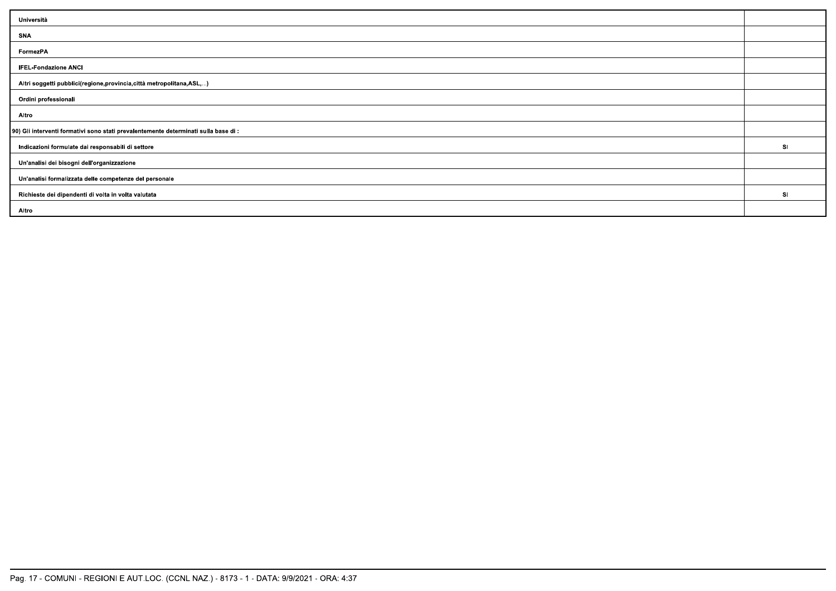| Università                                                                          |           |
|-------------------------------------------------------------------------------------|-----------|
| SNA                                                                                 |           |
| FormezPA                                                                            |           |
| <b>IFEL-Fondazione ANCI</b>                                                         |           |
| Altri soggetti pubblici(regione, provincia, città metropolitana, ASL,)              |           |
| Ordini professionali                                                                |           |
| Altro                                                                               |           |
| 90) Gli interventi formativi sono stati prevalentemente determinati sulla base di : |           |
| Indicazioni formulate dai responsabili di settore                                   | <b>SI</b> |
| Un'analisi dei bisogni dell'organizzazione                                          |           |
| Un'analisi formalizzata delle competenze del personale                              |           |
| Richieste dei dipendenti di volta in volta valutata                                 | SI.       |
| Altro                                                                               |           |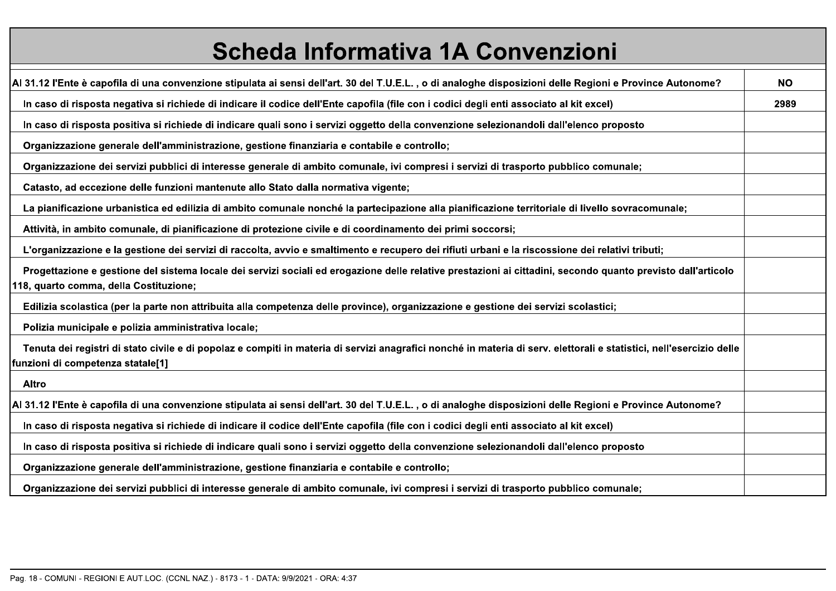| <b>Scheda Informativa 1A Convenzioni</b>                                                                                                                                                                  |           |
|-----------------------------------------------------------------------------------------------------------------------------------------------------------------------------------------------------------|-----------|
| Al 31.12 l'Ente è capofila di una convenzione stipulata ai sensi dell'art. 30 del T.U.E.L., o di analoghe disposizioni delle Regioni e Province Autonome?                                                 | <b>NO</b> |
| In caso di risposta negativa si richiede di indicare il codice dell'Ente capofila (file con i codici degli enti associato al kit excel)                                                                   | 2989      |
| In caso di risposta positiva si richiede di indicare quali sono i servizi oggetto della convenzione selezionandoli dall'elenco proposto                                                                   |           |
| Organizzazione generale dell'amministrazione, gestione finanziaria e contabile e controllo;                                                                                                               |           |
| Organizzazione dei servizi pubblici di interesse generale di ambito comunale, ivi compresi i servizi di trasporto pubblico comunale;                                                                      |           |
| Catasto, ad eccezione delle funzioni mantenute allo Stato dalla normativa vigente;                                                                                                                        |           |
| La pianificazione urbanistica ed edilizia di ambito comunale nonché la partecipazione alla pianificazione territoriale di livello sovracomunale;                                                          |           |
| Attività, in ambito comunale, di pianificazione di protezione civile e di coordinamento dei primi soccorsi;                                                                                               |           |
| L'organizzazione e la gestione dei servizi di raccolta, avvio e smaltimento e recupero dei rifiuti urbani e la riscossione dei relativi tributi;                                                          |           |
| Progettazione e gestione del sistema locale dei servizi sociali ed erogazione delle relative prestazioni ai cittadini, secondo quanto previsto dall'articolo<br>118, quarto comma, della Costituzione;    |           |
| Edilizia scolastica (per la parte non attribuita alla competenza delle province), organizzazione e gestione dei servizi scolastici;                                                                       |           |
| Polizia municipale e polizia amministrativa locale;                                                                                                                                                       |           |
| Tenuta dei registri di stato civile e di popolaz e compiti in materia di servizi anagrafici nonché in materia di serv. elettorali e statistici, nell'esercizio delle<br>funzioni di competenza statale[1] |           |
| <b>Altro</b>                                                                                                                                                                                              |           |
| Al 31.12 l'Ente è capofila di una convenzione stipulata ai sensi dell'art. 30 del T.U.E.L., o di analoghe disposizioni delle Regioni e Province Autonome?                                                 |           |
| In caso di risposta negativa si richiede di indicare il codice dell'Ente capofila (file con i codici degli enti associato al kit excel)                                                                   |           |
| In caso di risposta positiva si richiede di indicare quali sono i servizi oggetto della convenzione selezionandoli dall'elenco proposto                                                                   |           |
| Organizzazione generale dell'amministrazione, gestione finanziaria e contabile e controllo;                                                                                                               |           |
| Organizzazione dei servizi pubblici di interesse generale di ambito comunale, ivi compresi i servizi di trasporto pubblico comunale:                                                                      |           |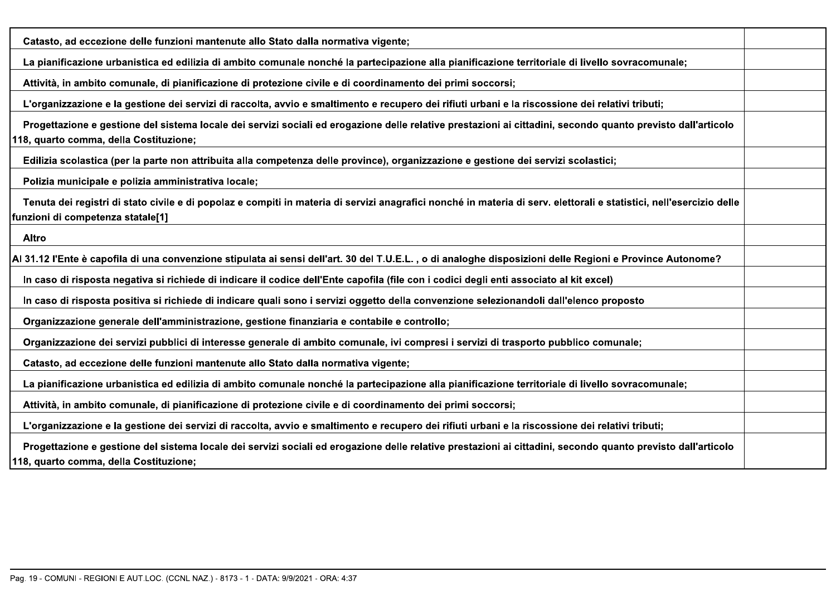| Catasto, ad eccezione delle funzioni mantenute allo Stato dalla normativa vigente;                                                                                                                        |  |
|-----------------------------------------------------------------------------------------------------------------------------------------------------------------------------------------------------------|--|
| La pianificazione urbanistica ed edilizia di ambito comunale nonché la partecipazione alla pianificazione territoriale di livello sovracomunale;                                                          |  |
| Attività, in ambito comunale, di pianificazione di protezione civile e di coordinamento dei primi soccorsi;                                                                                               |  |
| L'organizzazione e la gestione dei servizi di raccolta, avvio e smaltimento e recupero dei rifiuti urbani e la riscossione dei relativi tributi;                                                          |  |
| Progettazione e gestione del sistema locale dei servizi sociali ed erogazione delle relative prestazioni ai cittadini, secondo quanto previsto dall'articolo<br>118, quarto comma, della Costituzione;    |  |
| Edilizia scolastica (per la parte non attribuita alla competenza delle province), organizzazione e gestione dei servizi scolastici;                                                                       |  |
| Polizia municipale e polizia amministrativa locale;                                                                                                                                                       |  |
| Tenuta dei registri di stato civile e di popolaz e compiti in materia di servizi anagrafici nonché in materia di serv. elettorali e statistici, nell'esercizio delle<br>funzioni di competenza statale[1] |  |
| Altro                                                                                                                                                                                                     |  |
| Al 31.12 l'Ente è capofila di una convenzione stipulata ai sensi dell'art. 30 del T.U.E.L., o di analoghe disposizioni delle Regioni e Province Autonome?                                                 |  |
| In caso di risposta negativa si richiede di indicare il codice dell'Ente capofila (file con i codici degli enti associato al kit excel)                                                                   |  |
| In caso di risposta positiva si richiede di indicare quali sono i servizi oggetto della convenzione selezionandoli dall'elenco proposto                                                                   |  |
| Organizzazione generale dell'amministrazione, gestione finanziaria e contabile e controllo;                                                                                                               |  |
| Organizzazione dei servizi pubblici di interesse generale di ambito comunale, ivi compresi i servizi di trasporto pubblico comunale;                                                                      |  |
| Catasto, ad eccezione delle funzioni mantenute allo Stato dalla normativa vigente;                                                                                                                        |  |
| La pianificazione urbanistica ed edilizia di ambito comunale nonché la partecipazione alla pianificazione territoriale di livello sovracomunale;                                                          |  |
| Attività, in ambito comunale, di pianificazione di protezione civile e di coordinamento dei primi soccorsi;                                                                                               |  |
| L'organizzazione e la gestione dei servizi di raccolta, avvio e smaltimento e recupero dei rifiuti urbani e la riscossione dei relativi tributi;                                                          |  |
| Progettazione e gestione del sistema locale dei servizi sociali ed erogazione delle relative prestazioni ai cittadini, secondo quanto previsto dall'articolo<br>118, quarto comma, della Costituzione;    |  |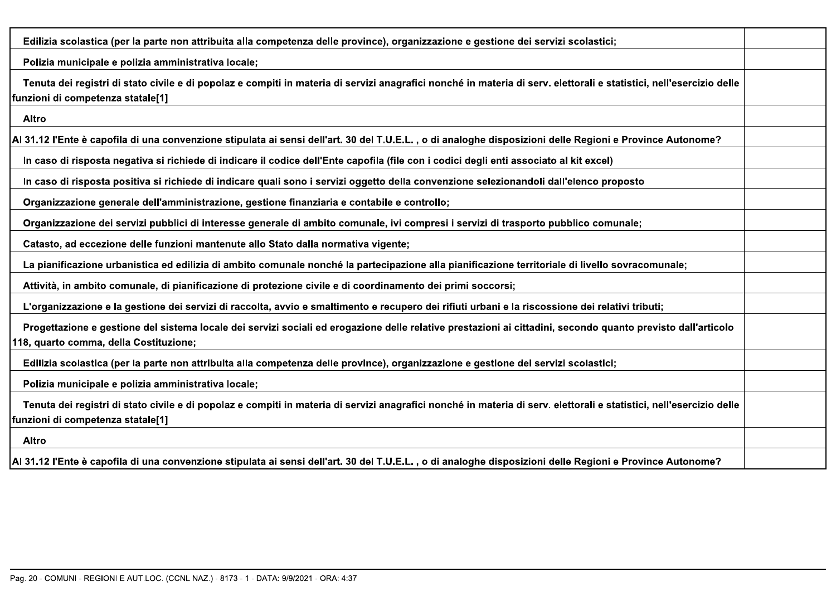| Edilizia scolastica (per la parte non attribuita alla competenza delle province), organizzazione e gestione dei servizi scolastici;                                                                       |  |
|-----------------------------------------------------------------------------------------------------------------------------------------------------------------------------------------------------------|--|
| Polizia municipale e polizia amministrativa locale;                                                                                                                                                       |  |
| Tenuta dei registri di stato civile e di popolaz e compiti in materia di servizi anagrafici nonché in materia di serv. elettorali e statistici, nell'esercizio delle<br>funzioni di competenza statale[1] |  |
| Altro                                                                                                                                                                                                     |  |
| Al 31.12 l'Ente è capofila di una convenzione stipulata ai sensi dell'art. 30 del T.U.E.L. , o di analoghe disposizioni delle Regioni e Province Autonome?                                                |  |
| In caso di risposta negativa si richiede di indicare il codice dell'Ente capofila (file con i codici degli enti associato al kit excel)                                                                   |  |
| In caso di risposta positiva si richiede di indicare quali sono i servizi oggetto della convenzione selezionandoli dall'elenco proposto                                                                   |  |
| Organizzazione generale dell'amministrazione, gestione finanziaria e contabile e controllo;                                                                                                               |  |
| Organizzazione dei servizi pubblici di interesse generale di ambito comunale, ivi compresi i servizi di trasporto pubblico comunale;                                                                      |  |
| Catasto, ad eccezione delle funzioni mantenute allo Stato dalla normativa vigente;                                                                                                                        |  |
| La pianificazione urbanistica ed edilizia di ambito comunale nonché la partecipazione alla pianificazione territoriale di livello sovracomunale;                                                          |  |
| Attività, in ambito comunale, di pianificazione di protezione civile e di coordinamento dei primi soccorsi;                                                                                               |  |
| L'organizzazione e la gestione dei servizi di raccolta, avvio e smaltimento e recupero dei rifiuti urbani e la riscossione dei relativi tributi;                                                          |  |
| Progettazione e gestione del sistema locale dei servizi sociali ed erogazione delle relative prestazioni ai cittadini, secondo quanto previsto dall'articolo<br>118, quarto comma, della Costituzione;    |  |
| Edilizia scolastica (per la parte non attribuita alla competenza delle province), organizzazione e gestione dei servizi scolastici;                                                                       |  |
| Polizia municipale e polizia amministrativa locale;                                                                                                                                                       |  |
| Tenuta dei registri di stato civile e di popolaz e compiti in materia di servizi anagrafici nonché in materia di serv. elettorali e statistici, nell'esercizio delle<br>funzioni di competenza statale[1] |  |
| <b>Altro</b>                                                                                                                                                                                              |  |
| Al 31.12 l'Ente è capofila di una convenzione stipulata ai sensi dell'art. 30 del T.U.E.L. , o di analoghe disposizioni delle Regioni e Province Autonome?                                                |  |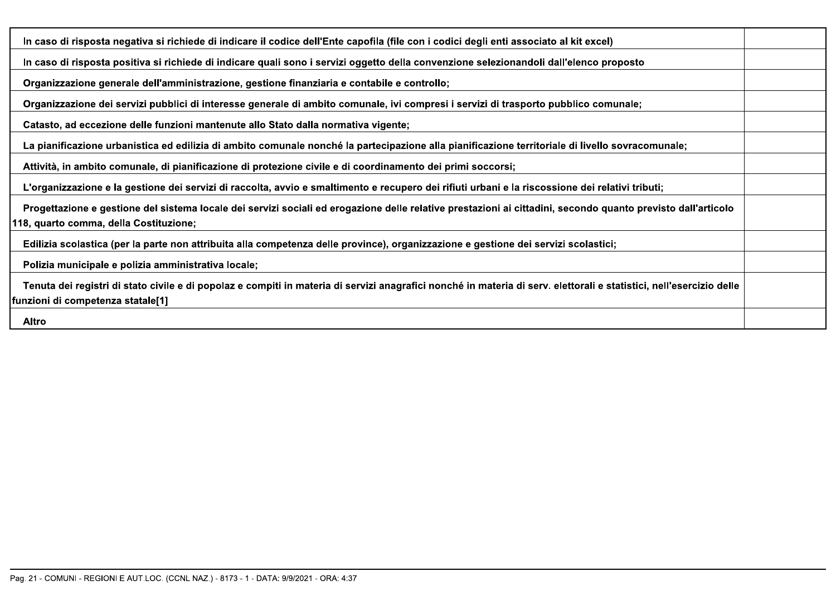| In caso di risposta negativa si richiede di indicare il codice dell'Ente capofila (file con i codici degli enti associato al kit excel)                                                                   |  |
|-----------------------------------------------------------------------------------------------------------------------------------------------------------------------------------------------------------|--|
| In caso di risposta positiva si richiede di indicare quali sono i servizi oggetto della convenzione selezionandoli dall'elenco proposto                                                                   |  |
| Organizzazione generale dell'amministrazione, gestione finanziaria e contabile e controllo;                                                                                                               |  |
| Organizzazione dei servizi pubblici di interesse generale di ambito comunale, ivi compresi i servizi di trasporto pubblico comunale;                                                                      |  |
| Catasto, ad eccezione delle funzioni mantenute allo Stato dalla normativa vigente;                                                                                                                        |  |
| La pianificazione urbanistica ed edilizia di ambito comunale nonché la partecipazione alla pianificazione territoriale di livello sovracomunale;                                                          |  |
| Attività, in ambito comunale, di pianificazione di protezione civile e di coordinamento dei primi soccorsi;                                                                                               |  |
| L'organizzazione e la gestione dei servizi di raccolta, avvio e smaltimento e recupero dei rifiuti urbani e la riscossione dei relativi tributi;                                                          |  |
| Progettazione e gestione del sistema locale dei servizi sociali ed erogazione delle relative prestazioni ai cittadini, secondo quanto previsto dall'articolo<br>118, quarto comma, della Costituzione;    |  |
| Edilizia scolastica (per la parte non attribuita alla competenza delle province), organizzazione e gestione dei servizi scolastici;                                                                       |  |
| Polizia municipale e polizia amministrativa locale;                                                                                                                                                       |  |
| Tenuta dei registri di stato civile e di popolaz e compiti in materia di servizi anagrafici nonché in materia di serv. elettorali e statistici, nell'esercizio delle<br>funzioni di competenza statale[1] |  |
| Altro                                                                                                                                                                                                     |  |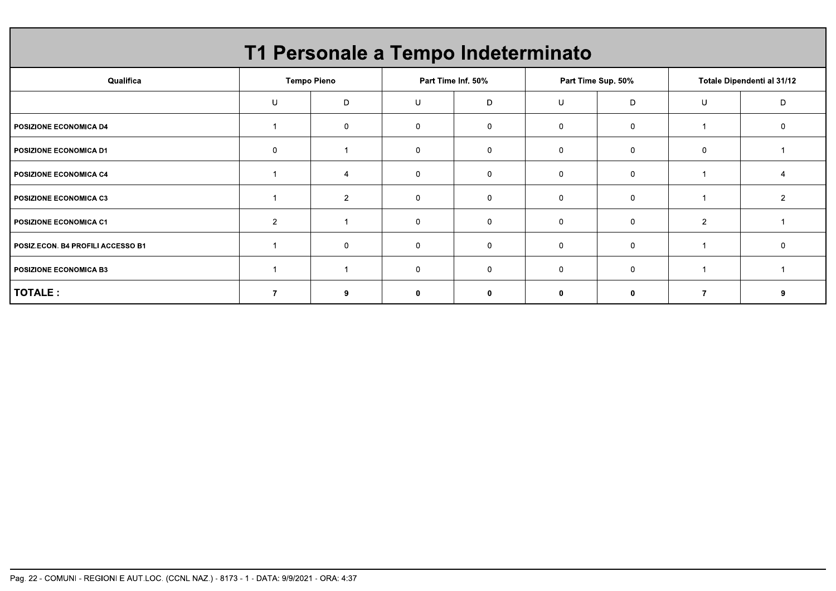|                                   |                | T1 Personale a Tempo Indeterminato |                |                    |              |                    |                |                            |
|-----------------------------------|----------------|------------------------------------|----------------|--------------------|--------------|--------------------|----------------|----------------------------|
| Qualifica                         |                | <b>Tempo Pieno</b>                 |                | Part Time Inf. 50% |              | Part Time Sup. 50% |                | Totale Dipendenti al 31/12 |
|                                   | U              | D                                  | U              | D                  | U            | D                  | U              | ח                          |
| <b>POSIZIONE ECONOMICA D4</b>     |                | $\mathbf{0}$                       | $\Omega$       | 0                  | $\mathbf{0}$ | $\mathbf 0$        |                |                            |
| <b>POSIZIONE ECONOMICA D1</b>     | $\mathbf 0$    |                                    | $\overline{0}$ | $\Omega$           | 0            | 0                  | $\overline{0}$ |                            |
| POSIZIONE ECONOMICA C4            |                |                                    | $\Omega$       | $\Omega$           | $\mathbf{0}$ | $\Omega$           |                |                            |
| <b>POSIZIONE ECONOMICA C3</b>     |                | $\overline{2}$                     | $\overline{0}$ | $\Omega$           | $\mathbf{0}$ | $\Omega$           |                |                            |
| <b>POSIZIONE ECONOMICA C1</b>     | $\overline{2}$ |                                    | 0              | $\Omega$           | 0            | $\Omega$           | $\overline{2}$ |                            |
| POSIZ.ECON. B4 PROFILI ACCESSO B1 |                | $\Omega$                           | $\Omega$       | $\Omega$           | $\mathbf{0}$ | $\Omega$           |                |                            |
| <b>POSIZIONE ECONOMICA B3</b>     |                |                                    | ∩              |                    | $\Omega$     | $\Omega$           |                |                            |
| TOTALE :                          |                | 9                                  | 0              |                    | $\bf{0}$     | 0                  |                |                            |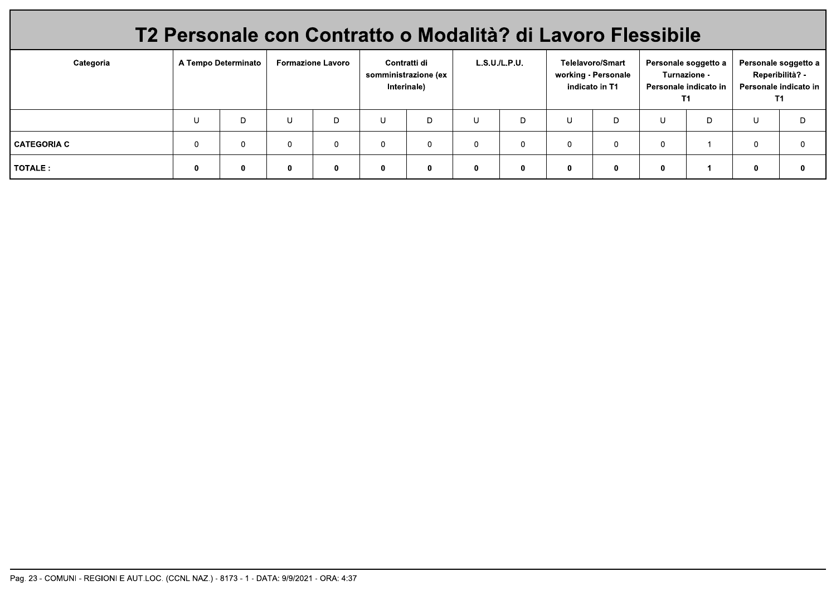|               | T2 Personale con Contratto o Modalità? di Lavoro Flessibile |                     |              |                          |             |                                                     |          |              |                |                                                |   |                                                                     |            |                                                                        |
|---------------|-------------------------------------------------------------|---------------------|--------------|--------------------------|-------------|-----------------------------------------------------|----------|--------------|----------------|------------------------------------------------|---|---------------------------------------------------------------------|------------|------------------------------------------------------------------------|
| Categoria     |                                                             | A Tempo Determinato |              | <b>Formazione Lavoro</b> |             | Contratti di<br>somministrazione (ex<br>Interinale) |          | L.S.U.L.P.U. | indicato in T1 | <b>Telelavoro/Smart</b><br>working - Personale |   | Personale soggetto a<br>Turnazione -<br>Personale indicato in<br>T1 |            | Personale soggetto a<br>Reperibilità? -<br>Personale indicato in<br>T1 |
|               |                                                             | D                   | U            | D                        | U           | D                                                   |          | D.           | U              | D                                              | U | D                                                                   | U          | D.                                                                     |
| I CATEGORIA C |                                                             | $\Omega$            | $\mathbf{0}$ |                          | 0           | 0                                                   | $\Omega$ |              | $\Omega$       | $\mathbf 0$                                    |   |                                                                     | $^{\circ}$ |                                                                        |
| l TOTALE :    |                                                             | 0                   | $\mathbf{0}$ |                          | $\mathbf 0$ | 0                                                   | $\bf{0}$ |              | $\mathbf{0}$   | 0                                              |   |                                                                     | 0          |                                                                        |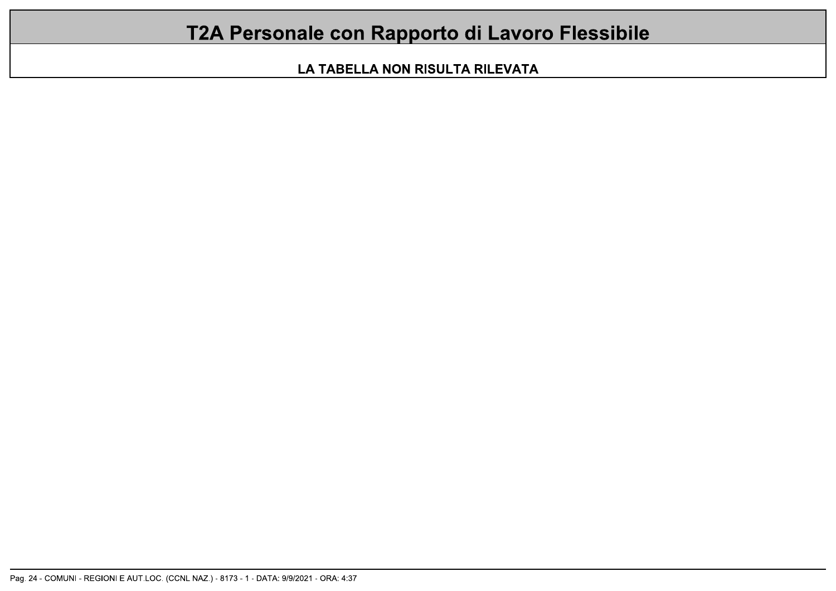## T2A Personale con Rapporto di Lavoro Flessibile

LA TABELLA NON RISULTA RILEVATA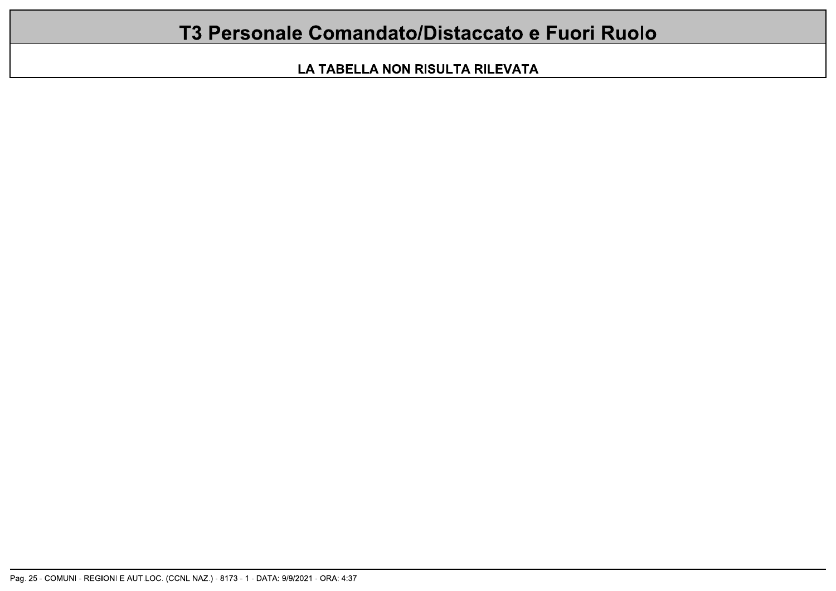### T3 Personale Comandato/Distaccato e Fuori Ruolo

LA TABELLA NON RISULTA RILEVATA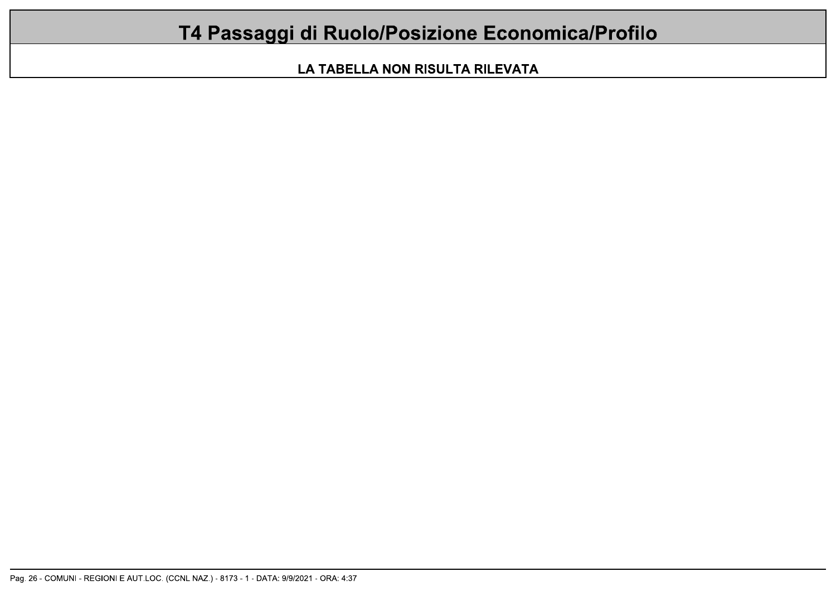# T4 Passaggi di Ruolo/Posizione Economica/Profilo

LA TABELLA NON RISULTA RILEVATA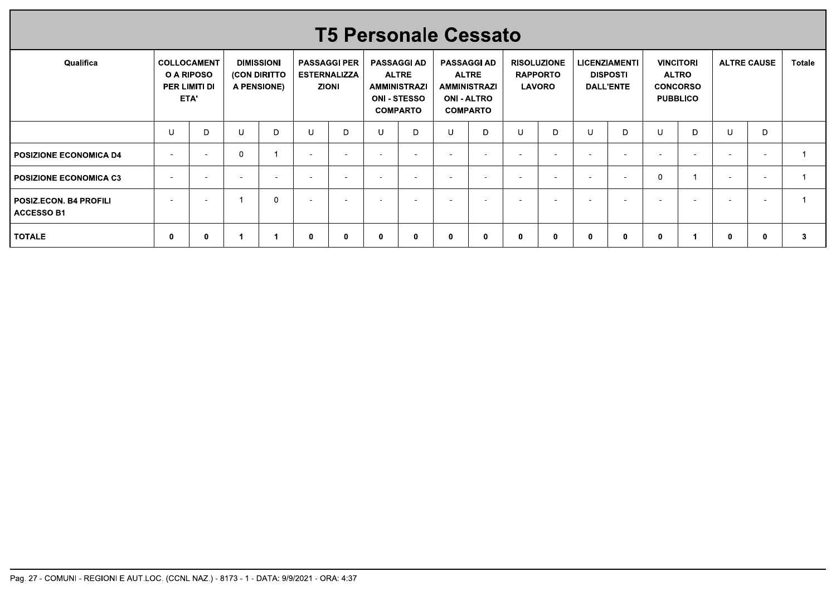|                                             |         |                                                    |                |                                                  |                          |                                                            |                          |                                                                                                     | <b>T5 Personale Cessato</b>                                                                        |        |                                  |                    |                          |                                     |              |                                                                        |                          |                          |                |
|---------------------------------------------|---------|----------------------------------------------------|----------------|--------------------------------------------------|--------------------------|------------------------------------------------------------|--------------------------|-----------------------------------------------------------------------------------------------------|----------------------------------------------------------------------------------------------------|--------|----------------------------------|--------------------|--------------------------|-------------------------------------|--------------|------------------------------------------------------------------------|--------------------------|--------------------------|----------------|
| Qualifica                                   |         | COLLOCAMENT<br>O A RIPOSO<br>PER LIMITI DI<br>ETA' |                | <b>DIMISSIONI</b><br>(CON DIRITTO<br>A PENSIONE) |                          | <b>PASSAGGI PER</b><br><b>ESTERNALIZZA</b><br><b>ZIONI</b> |                          | <b>PASSAGGI AD</b><br><b>ALTRE</b><br><b>AMMINISTRAZI</b><br><b>ONI - STESSO</b><br><b>COMPARTO</b> | <b>PASSAGGI AD</b><br><b>ALTRE</b><br><b>AMMINISTRAZI</b><br><b>ONI - ALTRO</b><br><b>COMPARTO</b> |        | <b>RAPPORTO</b><br><b>LAVORO</b> | <b>RISOLUZIONE</b> | <b>LICENZIAMENTI</b>     | <b>DISPOSTI</b><br><b>DALL'ENTE</b> |              | <b>VINCITORI</b><br><b>ALTRO</b><br><b>CONCORSO</b><br><b>PUBBLICO</b> |                          | <b>ALTRE CAUSE</b>       | Totale         |
|                                             | $\sf U$ | D                                                  | U              | $\mathsf D$                                      | $\sf U$                  | D                                                          | U                        | D                                                                                                   | U                                                                                                  | D      | U                                | $\mathsf{D}$       | U                        | D                                   | $\sf U$      | D                                                                      | $\cup$                   | D                        |                |
| POSIZIONE ECONOMICA D4                      | $\sim$  | $\sim$                                             | $\mathbf 0$    | $\overline{1}$                                   | $\sim$                   | $\sim$                                                     | $\sim$                   | $\sim$                                                                                              | $\sim$                                                                                             | $\sim$ | $\overline{a}$                   | $\sim$             | $\sim$                   | $\sim$                              | $\sim$       | $\sim$                                                                 | $\sim$                   | $\sim$                   | $\overline{1}$ |
| <b>POSIZIONE ECONOMICA C3</b>               | $\sim$  | $\sim$                                             | $\sim$         | $\sim$                                           | $\sim$                   | $\sim$                                                     | $\sim$                   | $\overline{\phantom{a}}$                                                                            | $\sim$                                                                                             | $\sim$ | $\sim$                           | $\sim$             | $\sim$                   | $\sim$                              | $\mathbf{0}$ | $\overline{1}$                                                         | $\sim$                   | $\sim$                   | $\overline{1}$ |
|                                             | $\sim$  | $\overline{\phantom{a}}$                           | $\overline{1}$ | $\mathbf 0$                                      | $\overline{\phantom{a}}$ | $\overline{\phantom{a}}$                                   | $\overline{\phantom{a}}$ | $\overline{\phantom{a}}$                                                                            | $\overline{\phantom{a}}$                                                                           | $\sim$ |                                  | $\sim$             | $\overline{\phantom{a}}$ | $\overline{\phantom{a}}$            | $\sim$       | $\overline{\phantom{a}}$                                               | $\overline{\phantom{a}}$ | $\overline{\phantom{a}}$ | $\mathbf{1}$   |
| POSIZ.ECON. B4 PROFILI<br><b>ACCESSO B1</b> |         |                                                    |                |                                                  |                          |                                                            |                          |                                                                                                     |                                                                                                    |        |                                  |                    |                          |                                     |              |                                                                        |                          |                          |                |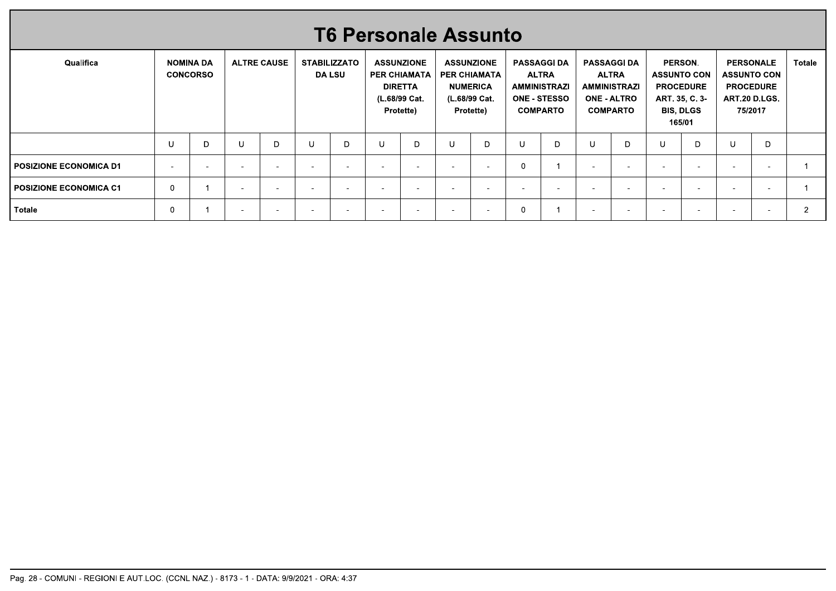|                               |        |                                     |                          |                    |        | <b>T6 Personale Assunto</b>          |                          |                                                                                          |                          |                                                                                           |                          |                                                                                                     |                          |                                                                                                    |                          |                                                                                                          |                          |                                                                                        |               |
|-------------------------------|--------|-------------------------------------|--------------------------|--------------------|--------|--------------------------------------|--------------------------|------------------------------------------------------------------------------------------|--------------------------|-------------------------------------------------------------------------------------------|--------------------------|-----------------------------------------------------------------------------------------------------|--------------------------|----------------------------------------------------------------------------------------------------|--------------------------|----------------------------------------------------------------------------------------------------------|--------------------------|----------------------------------------------------------------------------------------|---------------|
| Qualifica                     |        | <b>NOMINA DA</b><br><b>CONCORSO</b> |                          | <b>ALTRE CAUSE</b> |        | <b>STABILIZZATO</b><br><b>DA LSU</b> |                          | <b>ASSUNZIONE</b><br><b>PER CHIAMATA</b><br><b>DIRETTA</b><br>(L.68/99 Cat.<br>Protette) |                          | <b>ASSUNZIONE</b><br><b>PER CHIAMATA</b><br><b>NUMERICA</b><br>(L.68/99 Cat.<br>Protette) |                          | <b>PASSAGGI DA</b><br><b>ALTRA</b><br><b>AMMINISTRAZI</b><br><b>ONE - STESSO</b><br><b>COMPARTO</b> |                          | <b>PASSAGGI DA</b><br><b>ALTRA</b><br><b>AMMINISTRAZI</b><br><b>ONE - ALTRO</b><br><b>COMPARTO</b> |                          | <b>PERSON.</b><br><b>ASSUNTO CON</b><br><b>PROCEDURE</b><br>ART. 35, C. 3-<br><b>BIS, DLGS</b><br>165/01 |                          | <b>PERSONALE</b><br><b>ASSUNTO CON</b><br><b>PROCEDURE</b><br>ART 20 D.LGS.<br>75/2017 | Totale        |
|                               |        | D                                   | U                        | D                  | -U     | D                                    | U                        | D                                                                                        | IJ                       |                                                                                           | U                        | D                                                                                                   | U                        | D                                                                                                  |                          | D                                                                                                        | ്ധ                       | D                                                                                      |               |
| <b>POSIZIONE ECONOMICA D1</b> | $\sim$ | $\overline{\phantom{a}}$            | $\overline{\phantom{0}}$ |                    | $\sim$ |                                      | $\overline{a}$           | <b>1</b>                                                                                 | $\overline{\phantom{a}}$ | $\overline{\phantom{0}}$                                                                  | 0                        |                                                                                                     | $\overline{\phantom{a}}$ |                                                                                                    | $\overline{\phantom{a}}$ | $\overline{\phantom{a}}$                                                                                 | $\overline{\phantom{a}}$ | $\overline{\phantom{0}}$                                                               |               |
| <b>POSIZIONE ECONOMICA C1</b> | 0      |                                     | $\overline{\phantom{a}}$ |                    |        | $\overline{\phantom{0}}$             | $\overline{\phantom{a}}$ | $\overline{\phantom{a}}$                                                                 | $\overline{\phantom{a}}$ | $\overline{\phantom{0}}$                                                                  | $\overline{\phantom{0}}$ |                                                                                                     | $\overline{\phantom{0}}$ |                                                                                                    | $\overline{\phantom{a}}$ | -                                                                                                        | $\overline{\phantom{0}}$ | $\overline{\phantom{a}}$                                                               |               |
| <b>Totale</b>                 | 0      |                                     | $\overline{\phantom{a}}$ |                    | $\sim$ |                                      | $\overline{\phantom{a}}$ | $\overline{\phantom{a}}$                                                                 | $\overline{\phantom{a}}$ |                                                                                           |                          |                                                                                                     | $\overline{\phantom{0}}$ |                                                                                                    | $\sim$                   |                                                                                                          | $\overline{\phantom{a}}$ | $\overline{\phantom{a}}$                                                               | $\mathcal{P}$ |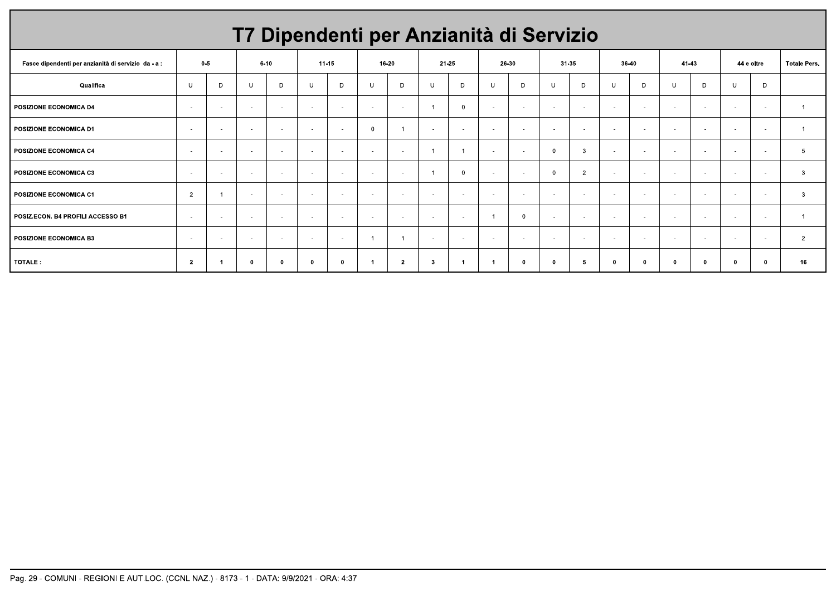|                                                     |                |        |          |            |                          |                          |          |                          |                          | T7 Dipendenti per Anzianità di Servizio |                |                |              |                          |              |                          |                          |                          |                          |                          |                     |
|-----------------------------------------------------|----------------|--------|----------|------------|--------------------------|--------------------------|----------|--------------------------|--------------------------|-----------------------------------------|----------------|----------------|--------------|--------------------------|--------------|--------------------------|--------------------------|--------------------------|--------------------------|--------------------------|---------------------|
| Fasce dipendenti per anzianità di servizio da - a : | $0 - 5$        |        | $6 - 10$ |            |                          | $11 - 15$                | 16-20    |                          |                          | 21-25                                   | 26-30          |                | 31-35        |                          | 36-40        |                          | 41 43                    |                          |                          | 44 e oltre               | <b>Totale Pers.</b> |
| Qualifica                                           | U              | D      | U        | D          | $\cup$                   | D                        | U        | D                        | $\cup$                   | D                                       | $\cup$         | D              | U            | D                        | $\cup$       | D                        | $\mathbf{U}$             | D                        | U                        | D                        |                     |
| <b>POSIZIONE ECONOMICA D4</b>                       | $\sim$         | $\sim$ | $\sim$   | $\sim$     | $\overline{\phantom{a}}$ | $\sim$                   | $\sim$   | $\sim$                   |                          | $\Omega$                                | $\sim$         | $\sim$         | $\sim$       | $\sim$                   | $\sim$       | $\overline{\phantom{a}}$ | $\sim$                   | $\sim$                   | $\sim$                   | $\sim$                   |                     |
| <b>POSIZIONE ECONOMICA D1</b>                       | $\sim$         |        | $\sim$   | $\sim$     | $\sim$                   | $\sim$                   | $\Omega$ |                          | . .                      | $\sim$                                  | $\sim$         | <b>COLLEGE</b> | $\sim$       |                          | $\sim$       | $\sim$                   | $\sim$                   | $\sim$                   | $\sim$                   | $\sim$                   |                     |
| POSIZIONE ECONOMICA C4                              | $\sim$         | $\sim$ | $\sim$   | $\sim$     | $\overline{\phantom{a}}$ | $\sim$                   | $\sim$   | $\overline{\phantom{a}}$ |                          |                                         | $\sim$         | $\sim$         | $\Omega$     | -3                       | $\sim$       | $\overline{\phantom{a}}$ | $\overline{\phantom{a}}$ | $\overline{\phantom{a}}$ | $\sim$                   | $\overline{\phantom{a}}$ | 5                   |
| <b>POSIZIONE ECONOMICA C3</b>                       | $\sim$         | $\sim$ | $\sim$   | $\sim$     | $\overline{\phantom{a}}$ | $\sim$                   | $\sim$   | $\sim$                   |                          | $\Omega$                                | $\sim$         | $\sim$         | $\Omega$     | $\overline{2}$           | $\sim$       | $\overline{\phantom{a}}$ | $\sim$                   | $\sim$                   | $\overline{\phantom{a}}$ | $\sim$                   | $\mathbf{3}$        |
| <b>POSIZIONE ECONOMICA C1</b>                       | $\overline{2}$ |        | $\sim$   | $\sim$     | $\sim$                   | $\sim$                   | $\sim$   | $\sim$                   | $\sim$                   | $\sim$                                  | $\sim$         | $\sim$         | $\sim$       | $\sim$                   | $\sim$       | $\sim$                   | $\sim$                   | $\sim$                   | $\sim$                   | $\sim$                   | 3                   |
| POSIZ.ECON. B4 PROFILI ACCESSO B1                   | $\sim$         | $\sim$ | $\sim$   | $\sim$     | $\overline{\phantom{a}}$ | $\overline{\phantom{a}}$ | $\sim$   | $\overline{\phantom{a}}$ | $\sim$                   | $\overline{\phantom{a}}$                | $\overline{1}$ | $\Omega$       | $\sim$       | $\overline{\phantom{a}}$ | $\sim$       | $\sim$                   | $\overline{\phantom{a}}$ | $\sim$                   | $\overline{\phantom{a}}$ | $\overline{\phantom{a}}$ |                     |
| <b>POSIZIONE ECONOMICA B3</b>                       | $\sim$         | $\sim$ | $\sim$   | $\sim$     | $\overline{\phantom{a}}$ | $\sim$                   |          |                          | $\overline{\phantom{a}}$ | $\sim$                                  | $\sim$         | $\sim$         | $\sim$       | $\sim$                   | $\sim$       | $\overline{a}$           | $\overline{\phantom{a}}$ | $\sim$                   | $\overline{\phantom{a}}$ | $\sim$                   | $\overline{2}$      |
| TOTALE:                                             | $\overline{2}$ |        | $\Omega$ | $\sqrt{2}$ | - 0                      | 0                        |          | $\overline{2}$           | -3                       |                                         | $\overline{1}$ | $\mathbf{0}$   | $\mathbf{r}$ | -5                       | $\mathbf{0}$ | - 0                      | n                        | - 0                      | - 0                      | $\mathbf{0}$             | 16                  |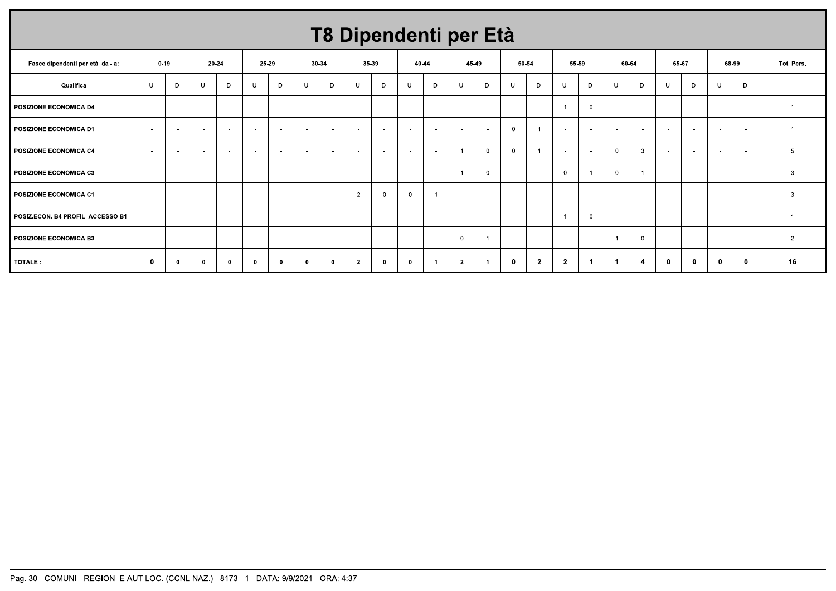# T8 Dipendenti per Età

| Fasce dipendenti per età da - a:  |                          | $0 - 19$     | 20-24                    |            | 25-29  |          |                          | 30-34                    | 35-39          |              | 40-44    |                          | 45-49          |                          | 50-54       |                | 55-59          |                          | 60-64          |                          | 65-67                    |              | 68-99                    |              | Tot. Pers.     |
|-----------------------------------|--------------------------|--------------|--------------------------|------------|--------|----------|--------------------------|--------------------------|----------------|--------------|----------|--------------------------|----------------|--------------------------|-------------|----------------|----------------|--------------------------|----------------|--------------------------|--------------------------|--------------|--------------------------|--------------|----------------|
| Qualifica                         | U                        | D            | U                        | D          | U      | D        | U                        | D                        | U              | D            | U        | D                        | U              | D                        | U           | D              | U              | D                        | $\cup$         | D                        | <b>U</b>                 | D            | U                        | D            |                |
| POSIZIONE ECONOMICA D4            | $\sim$                   | $\sim$       | $\sim$                   | $\sim$     | $\sim$ | $\sim$   | $\sim$                   | $\sim$                   | $\sim$         | $\sim$       | $\sim$   | $\sim$                   | $\sim$         | $\sim$                   | $\sim$      | $\sim$         | $\overline{1}$ | $\overline{\mathbf{0}}$  | $\overline{a}$ | $\sim$                   | $\sim$                   | $\sim$       | $\sim$                   | $\sim$       |                |
| POSIZIONE ECONOMICA D1            | $\sim$                   | $\sim$       | $\sim$                   | $\sim$     | $\sim$ | $\sim$   | $\sim$                   | $\sim$                   | $\sim$         | $\sim$       | $\sim$   | $\sim$                   | $\sim$         | $\sim$                   | $\Omega$    |                | $\sim$         | $\sim$                   | $\sim$         | $\sim$                   | $\sim$                   | $\sim$       | $\sim$                   | $\sim$       |                |
| POSIZIONE ECONOMICA C4            | $\sim$                   | $\sim$       | $\sim$                   | $\sim$     | $\sim$ | $\sim$   | $\overline{\phantom{a}}$ | $\sim$                   | $\sim$         | $\sim$       | $\sim$   | $\sim$                   |                | $\Omega$                 | $\Omega$    | $\overline{1}$ | $\sim$         | $\overline{\phantom{a}}$ | $\Omega$       | 3                        | $\overline{\phantom{a}}$ | $\sim$       | $\sim$                   | $\sim$       | 5              |
| POSIZIONE ECONOMICA C3            | $\overline{\phantom{a}}$ | $\sim$       | $\sim$                   | $\sim$     | $\sim$ | $\sim$   | $\sim$                   | $\sim$                   | $\sim$         | $\sim$       | $\sim$   | $\overline{\phantom{a}}$ |                | $\Omega$                 | $\sim$      | $\sim$         | $\overline{0}$ |                          | $\overline{0}$ |                          | $\sim$                   | $\sim$       | $\sim$                   | $\sim$       | $\mathbf{3}$   |
| POSIZIONE ECONOMICA C1            | $\sim$                   | $\sim$       | $\sim$                   | $\sim$     | $\sim$ | $\sim$   | $\sim$                   | $\sim$                   | $\overline{2}$ | $\Omega$     | $\Omega$ |                          | $\sim$         | $\sim$                   |             | $\sim$         | $\sim$         | $\sim$                   | $\sim$         | $\sim$                   | $\sim$                   | $\sim$       | ۰.                       | $\sim$       | $\mathbf{3}$   |
| POSIZ.ECON. B4 PROFILI ACCESSO B1 | $\sim$                   | $\sim$       | $\overline{\phantom{a}}$ | $\sim$     | $\sim$ | $\sim$   | $\sim$                   | $\overline{\phantom{a}}$ | $\sim$         | $\sim$       | $\sim$   | $\overline{\phantom{a}}$ | $\sim$         | $\overline{\phantom{a}}$ | $\sim$      | $\sim$         | -1             | $\overline{0}$           | $\sim$         | $\overline{\phantom{a}}$ | $\overline{\phantom{a}}$ | $\sim$       | $\overline{\phantom{a}}$ | $\sim$       |                |
| <b>POSIZIONE ECONOMICA B3</b>     | $\sim$                   | $\sim$       | $\sim$                   | $\sim$     | $\sim$ | $\sim$   | $\overline{\phantom{a}}$ | $\sim$                   | $\sim$         | $\sim$       | $\sim$   | $\overline{\phantom{a}}$ | $\Omega$       |                          | $\sim$      | $\sim$         | $\sim$         | $\sim$                   |                |                          | $\sim$                   | $\sim$       | $\overline{\phantom{a}}$ | $\sim$       | $\overline{2}$ |
| TOTALE:                           | 0                        | $\mathbf{0}$ | - O                      | $^{\circ}$ | 0      | $\Omega$ | $\bf{0}$                 | $\mathbf 0$              | -2             | $\mathbf{0}$ | - 0      |                          | $\overline{2}$ |                          | $\mathbf 0$ | $\overline{2}$ | $\mathbf{2}$   | $\blacktriangleleft$     |                |                          | $\bf{0}$                 | $\mathbf{0}$ | 0                        | $\mathbf{0}$ | 16             |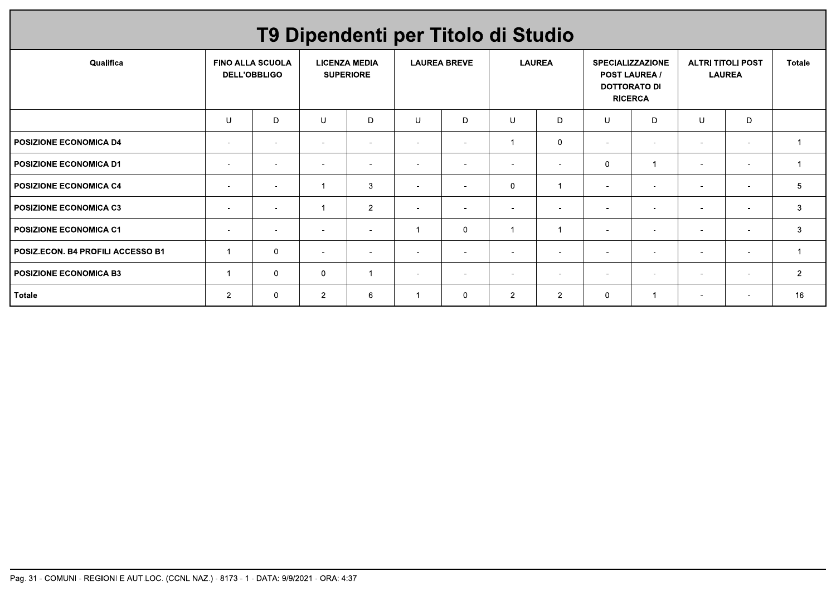|                                   |                                                |                          |                          |                                          | T9 Dipendenti per Titolo di Studio |                          |                          |                          |                          |                                                                                          |                          |                                           |                |
|-----------------------------------|------------------------------------------------|--------------------------|--------------------------|------------------------------------------|------------------------------------|--------------------------|--------------------------|--------------------------|--------------------------|------------------------------------------------------------------------------------------|--------------------------|-------------------------------------------|----------------|
| Qualifica                         | <b>FINO ALLA SCUOLA</b><br><b>DELL'OBBLIGO</b> |                          |                          | <b>LICENZA MEDIA</b><br><b>SUPERIORE</b> |                                    | <b>LAUREA BREVE</b>      | <b>LAUREA</b>            |                          |                          | <b>SPECIALIZZAZIONE</b><br><b>POST LAUREA /</b><br><b>DOTTORATO DI</b><br><b>RICERCA</b> |                          | <b>ALTRI TITOLI POST</b><br><b>LAUREA</b> | <b>Totale</b>  |
|                                   | U                                              | D                        | <b>U</b>                 | D                                        | U                                  | D                        | U                        | D                        | $\mathbf{U}$             | D                                                                                        | U                        | D                                         |                |
| <b>POSIZIONE ECONOMICA D4</b>     | $\overline{\phantom{a}}$                       | $\overline{\phantom{a}}$ | $\overline{\phantom{0}}$ | $\sim$                                   | $\blacksquare$                     | $\blacksquare$           |                          | 0                        | $\blacksquare$           | $\overline{a}$                                                                           | $\overline{\phantom{a}}$ | $\sim$                                    |                |
| I POSIZIONE ECONOMICA D1          | $\overline{\phantom{a}}$                       | $\overline{\phantom{a}}$ | $\overline{\phantom{a}}$ | $\overline{\phantom{a}}$                 | $\overline{\phantom{a}}$           | $\overline{\phantom{a}}$ | $\sim$                   | $\overline{\phantom{a}}$ | $\Omega$                 | -1                                                                                       | $\overline{\phantom{a}}$ | $\overline{\phantom{a}}$                  |                |
| <b>POSIZIONE ECONOMICA C4</b>     | $\overline{\phantom{a}}$                       | $\overline{\phantom{a}}$ | $\overline{1}$           | 3                                        | $\overline{\phantom{a}}$           | $\overline{\phantom{a}}$ | $\mathbf{0}$             |                          | $\overline{\phantom{a}}$ | $\overline{a}$                                                                           | $\blacksquare$           | $\overline{\phantom{a}}$                  | 5              |
| POSIZIONE ECONOMICA C3            | $\sim$                                         | $\sim$                   | -1                       | $\overline{2}$                           | $\overline{\phantom{a}}$           | $\sim$                   | $\sim$                   | $\blacksquare$           | $\blacksquare$           | $\overline{a}$                                                                           | $\blacksquare$           | $\sim$                                    | $\mathbf{3}$   |
| I POSIZIONE ECONOMICA C1          | $\overline{\phantom{a}}$                       | $\overline{\phantom{a}}$ |                          | $\overline{\phantom{a}}$                 |                                    | 0                        | -1                       |                          | $\overline{\phantom{a}}$ | $\overline{\phantom{a}}$                                                                 | $\overline{\phantom{a}}$ | $\overline{\phantom{a}}$                  | 3              |
| POSIZ.ECON. B4 PROFILI ACCESSO B1 |                                                | $\mathbf 0$              | $\overline{\phantom{a}}$ | $\overline{\phantom{a}}$                 | $\overline{\phantom{a}}$           | $\blacksquare$           | $\overline{\phantom{a}}$ | $\overline{\phantom{a}}$ | $\overline{\phantom{a}}$ | $\overline{a}$                                                                           | $\overline{\phantom{a}}$ | $\sim$                                    |                |
| <b>POSIZIONE ECONOMICA B3</b>     |                                                | 0                        | $\mathbf 0$              |                                          | $\overline{\phantom{a}}$           | $\overline{\phantom{0}}$ |                          | $\overline{\phantom{a}}$ | $\blacksquare$           | $\overline{\phantom{0}}$                                                                 | $\overline{\phantom{a}}$ | $\sim$                                    | $\overline{2}$ |
| Totale                            | $\overline{2}$                                 | $\mathbf 0$              | $\overline{2}$           | 6                                        |                                    | $\mathbf{0}$             | $\overline{2}$           | $\overline{2}$           | $\mathbf 0$              |                                                                                          | $\overline{\phantom{a}}$ | $\overline{\phantom{a}}$                  | 16             |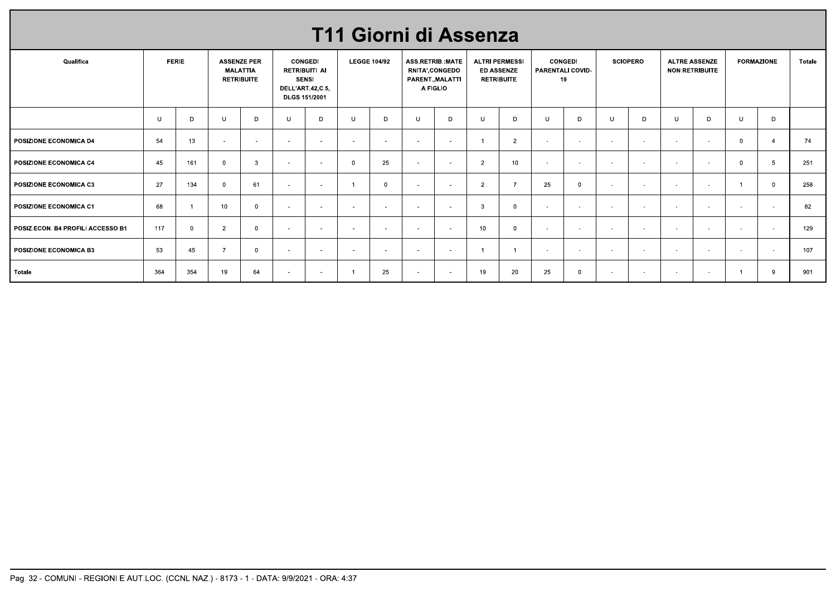| Qualifica                         |        | <b>FERIE</b>   |                | <b>ASSENZE PER</b>                   |        | <b>CONGEDI</b>                                                            |                | <b>LEGGE 104/92</b> |                | T11 Giorni di Assenza<br>ASS.RETRIB.:MATE       | <b>ALTRI PERMESSI</b> |                                        |        | <b>CONGEDI</b>   |        | <b>SCIOPERO</b>     |        | <b>ALTRE ASSENZE</b>  |                | <b>FORMAZIONE</b>        | Totale |
|-----------------------------------|--------|----------------|----------------|--------------------------------------|--------|---------------------------------------------------------------------------|----------------|---------------------|----------------|-------------------------------------------------|-----------------------|----------------------------------------|--------|------------------|--------|---------------------|--------|-----------------------|----------------|--------------------------|--------|
|                                   |        |                |                | <b>MALATTIA</b><br><b>RETRIBUITE</b> |        | <b>RETRIBUITI AI</b><br><b>SENSI</b><br>DELL'ART.42,C.5,<br>DLGS 151/2001 |                |                     |                | RNITA', CONGEDO<br>PARENT., MALATTI<br>A FIGLIO |                       | <b>ED ASSENZE</b><br><b>RETRIBUITE</b> | 19     | PARENTALI COVID- |        |                     |        | <b>NON RETRIBUITE</b> |                |                          |        |
|                                   | $\cup$ | D              | U              | D                                    | U      | D                                                                         | $\cup$         | D                   | U              | D                                               | $\cup$                | D                                      | $\cup$ | D                | U      | D                   | $\cup$ | D                     | $\cup$         | D                        |        |
| POSIZIONE ECONOMICA D4            | 54     | 13             | $\sim$         | $\sim$                               | $\sim$ | $\sim$                                                                    | $\sim$         | $\sim$              | $\sim$         | $\sim$                                          | $\overline{1}$        | $\overline{2}$                         | $\sim$ | $\sim$           | $\sim$ | $\sim$              | $\sim$ | $\sim$                | $\mathbf{0}$   | $\overline{4}$           | 74     |
| POSIZIONE ECONOMICA C4            | 45     | 161            | $\overline{0}$ | $\overline{\mathbf{3}}$              | $\sim$ | $\sim$                                                                    | $\overline{0}$ | 25                  | $\sim$         | $\sim$                                          | $\overline{2}$        | 10                                     | $\sim$ | $\sim$           | $\sim$ | $\sim$              | $\sim$ | $\sim$                | $\mathbf{0}$   | $5\phantom{.0}$          | 251    |
| POSIZIONE ECONOMICA C3            | 27     | 134            | $\overline{0}$ | 61                                   | $\sim$ | $\overline{\phantom{a}}$                                                  | $\overline{1}$ | $\mathbf 0$         | $\overline{a}$ | $\sim$                                          | $\overline{2}$        | $\overline{7}$                         | 25     | $\overline{0}$   | $\sim$ | $\mathbf{r}$        | $\sim$ | $\sim$                | $\overline{1}$ | $\overline{0}$           | 258    |
|                                   | 68     | $\overline{1}$ | 10             | $\overline{0}$                       | $\sim$ | $\sim$                                                                    | $\sim$         | $\sim$              | $\sim$         | $\sim$                                          | $\mathbf{3}$          | $\overline{0}$                         | $\sim$ | $\sim$           | $\sim$ | $\omega_{\rm{eff}}$ | $\sim$ | $\sim$                | $\sim$         | $\sim$                   | 82     |
| POSIZIONE ECONOMICA C1            |        |                |                |                                      | $\sim$ | $\sim$                                                                    | $\sim$         | $\sim$              | $\sim$         | $\sim$                                          | 10                    | $\overline{0}$                         | $\sim$ | $\sim$           | $\sim$ | $\sim$              | $\sim$ | $\sim$                | $\sim$         | $\overline{\phantom{a}}$ | 129    |
| POSIZ.ECON. B4 PROFILI ACCESSO B1 | 117    | $\overline{0}$ | 2              | $\overline{0}$                       |        |                                                                           |                |                     |                |                                                 |                       |                                        |        |                  |        |                     |        |                       |                |                          |        |
| <b>POSIZIONE ECONOMICA B3</b>     | 53     | 45             | $\overline{7}$ | $\overline{0}$                       | $\sim$ | $\sim$                                                                    | $\sim$         | $\sim$              | $\sim$         | $\sim$                                          | $\overline{1}$        | $\overline{1}$                         | $\sim$ | $\sim$           | $\sim$ | $\mathbf{r}$        | $\sim$ | $\sim$                | $\sim$         | $\sim$                   | 107    |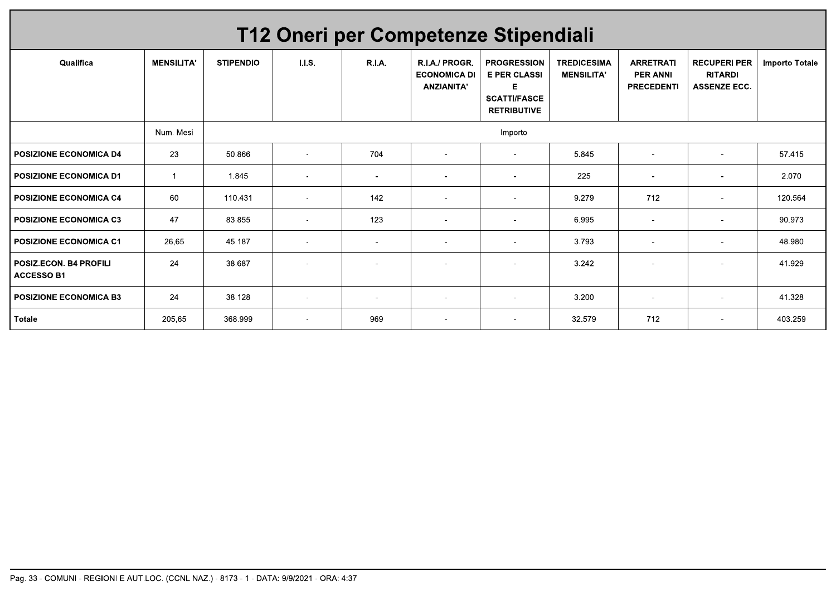|                                             |                   |                  | T12 Oneri per Competenze Stipendiali |                          |                                                            |                                                                                             |                                         |                                                          |                                                              |                       |
|---------------------------------------------|-------------------|------------------|--------------------------------------|--------------------------|------------------------------------------------------------|---------------------------------------------------------------------------------------------|-----------------------------------------|----------------------------------------------------------|--------------------------------------------------------------|-----------------------|
| Qualifica                                   | <b>MENSILITA'</b> | <b>STIPENDIO</b> | 1.1.5.                               | <b>R.I.A.</b>            | R.I.A./ PROGR.<br><b>ECONOMICA DI</b><br><b>ANZIANITA'</b> | <b>PROGRESSION</b><br><b>E PER CLASSI</b><br>Е<br><b>SCATTI/FASCE</b><br><b>RETRIBUTIVE</b> | <b>TREDICESIMA</b><br><b>MENSILITA'</b> | <b>ARRETRATI</b><br><b>PER ANNI</b><br><b>PRECEDENTI</b> | <b>RECUPERI PER</b><br><b>RITARDI</b><br><b>ASSENZE ECC.</b> | <b>Importo Totale</b> |
|                                             | Num, Mesi         |                  |                                      |                          |                                                            | Importo                                                                                     |                                         |                                                          |                                                              |                       |
| <b>POSIZIONE ECONOMICA D4</b>               | 23                | 50.866           | $\blacksquare$                       | 704                      | $\overline{\phantom{a}}$                                   | $\sim$                                                                                      | 5.845                                   | $\overline{\phantom{a}}$                                 | $\overline{\phantom{a}}$                                     | 57.415                |
| <b>POSIZIONE ECONOMICA D1</b>               | -1                | 1.845            | $\overline{\phantom{a}}$             | $\overline{\phantom{a}}$ | $\overline{\phantom{a}}$                                   | $\overline{\phantom{a}}$                                                                    | 225                                     | $\overline{\phantom{a}}$                                 | $\overline{\phantom{a}}$                                     | 2.070                 |
| <b>POSIZIONE ECONOMICA C4</b>               | 60                | 110.431          | $\overline{\phantom{a}}$             | 142                      | $\overline{\phantom{a}}$                                   | $\overline{\phantom{a}}$                                                                    | 9.279                                   | 712                                                      | $\overline{\phantom{a}}$                                     | 120.564               |
| <b>POSIZIONE ECONOMICA C3</b>               | 47                | 83.855           | $\overline{\phantom{a}}$             | 123                      | $\overline{\phantom{a}}$                                   | $\blacksquare$                                                                              | 6.995                                   | $\overline{\phantom{a}}$                                 | $\overline{\phantom{a}}$                                     | 90.973                |
| <b>POSIZIONE ECONOMICA C1</b>               | 26,65             | 45.187           | $\overline{\phantom{a}}$             |                          | $\overline{\phantom{a}}$                                   |                                                                                             | 3.793                                   | $\overline{\phantom{a}}$                                 | $\overline{\phantom{a}}$                                     | 48.980                |
| POSIZ.ECON. B4 PROFILI<br><b>ACCESSO B1</b> | 24                | 38.687           |                                      |                          |                                                            |                                                                                             | 3.242                                   |                                                          |                                                              | 41.929                |
| <b>POSIZIONE ECONOMICA B3</b>               | 24                | 38.128           | $\sim$                               | $\blacksquare$           | $\overline{\phantom{a}}$                                   | $\sim$                                                                                      | 3.200                                   | $\sim$                                                   | $\overline{\phantom{a}}$                                     | 41.328                |
| <b>Totale</b>                               | 205,65            | 368.999          | $\overline{\phantom{0}}$             | 969                      | $\overline{\phantom{a}}$                                   | $\overline{\phantom{a}}$                                                                    | 32.579                                  | 712                                                      | $\overline{\phantom{a}}$                                     | 403.259               |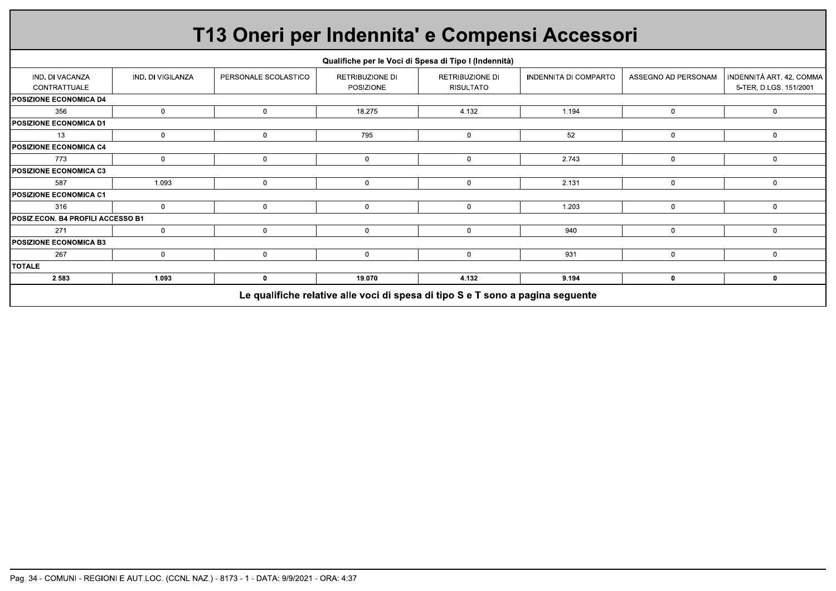|                                          |                   | T13 Oneri per Indennita' e Compensi Accessori |                                     |                                                                                |                              |                     |                                                    |
|------------------------------------------|-------------------|-----------------------------------------------|-------------------------------------|--------------------------------------------------------------------------------|------------------------------|---------------------|----------------------------------------------------|
|                                          |                   |                                               |                                     | Qualifiche per le Voci di Spesa di Tipo I (Indennità)                          |                              |                     |                                                    |
| IND. DI VACANZA<br>CONTRATTUALE          | IND. DI VIGILANZA | PERSONALE SCOLASTICO                          | <b>RETRIBUZIONE DI</b><br>POSIZIONE | RETRIBUZIONE DI<br><b>RISULTATO</b>                                            | <b>INDENNITA DI COMPARTO</b> | ASSEGNO AD PERSONAM | INDENNITÀ ART. 42, COMMA<br>5-TER, D.LGS, 151/2001 |
| <b>IPOSIZIONE ECONOMICA D4</b>           |                   |                                               |                                     |                                                                                |                              |                     |                                                    |
| 356                                      | $\mathbf{0}$      | $\Omega$                                      | 18.275                              | 4.132                                                                          | 1.194                        | $\mathbf{0}$        | $\mathbf{0}$                                       |
| <b>POSIZIONE ECONOMICA D1</b>            |                   |                                               |                                     |                                                                                |                              |                     |                                                    |
| 13                                       | $\mathbf{0}$      | $\mathbf 0$                                   | 795                                 | $\mathbf{0}$                                                                   | 52                           | $\mathbf{0}$        | $\mathbf{0}$                                       |
| <b>POSIZIONE ECONOMICA C4</b>            |                   |                                               |                                     |                                                                                |                              |                     |                                                    |
| 773                                      | $\mathbf 0$       | $\Omega$                                      | $\mathbf 0$                         | $\mathbf{0}$                                                                   | 2.743                        | $\mathbf 0$         | $\mathbf{0}$                                       |
| <b>POSIZIONE ECONOMICA C3</b>            |                   |                                               |                                     |                                                                                |                              |                     |                                                    |
| 587                                      | 1.093             | $\mathbf 0$                                   | $\mathbf 0$                         | $\mathbf 0$                                                                    | 2.131                        | $\mathbf 0$         | $\mathbf{0}$                                       |
| <b>POSIZIONE ECONOMICA C1</b>            |                   |                                               |                                     |                                                                                |                              |                     |                                                    |
| 316                                      | $\mathbf 0$       | $\mathbf 0$                                   | $\mathbf 0$                         | $\mathbf 0$                                                                    | 1.203                        | $\mathbf 0$         | $\mathbf{0}$                                       |
| <b>POSIZ.ECON. B4 PROFILI ACCESSO B1</b> |                   |                                               |                                     |                                                                                |                              |                     |                                                    |
| 271                                      | $\mathbf{0}$      | $\Omega$                                      | $\mathbf 0$                         | $\mathbf{0}$                                                                   | 940                          | $\mathbf{0}$        | $\mathbf{0}$                                       |
| <b>POSIZIONE ECONOMICA B3</b>            |                   |                                               |                                     |                                                                                |                              |                     |                                                    |
| 267                                      | $\mathbf 0$       | $\mathbf 0$                                   | $\mathbf 0$                         | $\mathbf 0$                                                                    | 931                          | $\mathbf{0}$        | $\mathbf{0}$                                       |
| <b>ITOTALE</b>                           |                   |                                               |                                     |                                                                                |                              |                     |                                                    |
| 2.583                                    | 1.093             | 0                                             | 19.070                              | 4.132                                                                          | 9.194                        | $\mathbf 0$         | 0                                                  |
|                                          |                   |                                               |                                     | Le qualifiche relative alle voci di spesa di tipo S e T sono a pagina seguente |                              |                     |                                                    |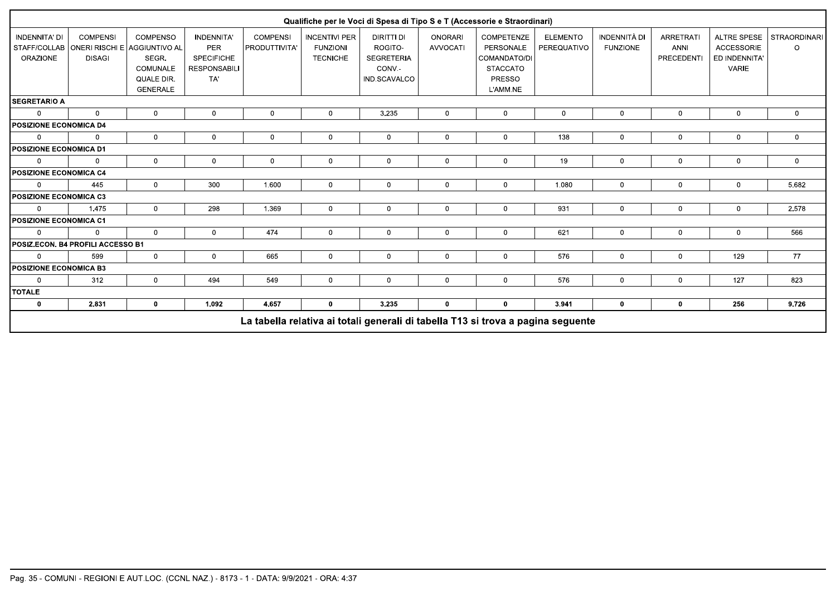|                                  |                                                                                   |                                                                       |                                                                                    |                                         |                                                            |                                                                             |                                   | Qualifiche per le Voci di Spesa di Tipo S e T (Accessorie e Straordinari)                      |                                |                                 |                                               |                                                                          |                                |
|----------------------------------|-----------------------------------------------------------------------------------|-----------------------------------------------------------------------|------------------------------------------------------------------------------------|-----------------------------------------|------------------------------------------------------------|-----------------------------------------------------------------------------|-----------------------------------|------------------------------------------------------------------------------------------------|--------------------------------|---------------------------------|-----------------------------------------------|--------------------------------------------------------------------------|--------------------------------|
| INDENNITA' DI<br><b>ORAZIONE</b> | <b>COMPENSI</b><br>STAFF/COLLAB   ONERI RISCHI E   AGGIUNTIVO AL<br><b>DISAGI</b> | <b>COMPENSO</b><br>SEGR.<br>COMUNALE<br>QUALE DIR.<br><b>GENERALE</b> | <b>INDENNITA'</b><br><b>PER</b><br><b>SPECIFICHE</b><br><b>RESPONSABILI</b><br>TA' | <b>COMPENSI</b><br><b>PRODUTTIVITA'</b> | <b>INCENTIVI PER</b><br><b>FUNZIONI</b><br><b>TECNICHE</b> | <b>DIRITTI DI</b><br>ROGITO-<br><b>SEGRETERIA</b><br>CONV.-<br>IND.SCAVALCO | <b>ONORARI</b><br><b>AVVOCATI</b> | <b>COMPETENZE</b><br>PERSONALE<br>COMANDATO/DI<br><b>STACCATO</b><br><b>PRESSO</b><br>L'AMM.NE | <b>ELEMENTO</b><br>PEREQUATIVO | INDENNITÀ DI<br><b>FUNZIONE</b> | <b>ARRETRATI</b><br><b>ANNI</b><br>PRECEDENTI | <b>ALTRE SPESE</b><br><b>ACCESSORIE</b><br>ED INDENNITA'<br><b>VARIE</b> | <b>STRAORDINARI</b><br>$\circ$ |
| <b>SEGRETARIO A</b>              |                                                                                   |                                                                       |                                                                                    |                                         |                                                            |                                                                             |                                   |                                                                                                |                                |                                 |                                               |                                                                          |                                |
| $\Omega$                         | $\mathbf 0$                                                                       | 0                                                                     | $\mathbf 0$                                                                        | $\mathbf 0$                             | 0                                                          | 3.235                                                                       | $\mathbf{0}$                      | $\mathsf 0$                                                                                    | $\mathbf{0}$                   | $\mathbf 0$                     | $\mathbf 0$                                   | 0                                                                        | $\mathbf 0$                    |
| <b>POSIZIONE ECONOMICA D4</b>    |                                                                                   |                                                                       |                                                                                    |                                         |                                                            |                                                                             |                                   |                                                                                                |                                |                                 |                                               |                                                                          |                                |
| $\Omega$                         | $\Omega$                                                                          | $\mathbf{0}$                                                          | $\mathbf 0$                                                                        | $\mathbf{0}$                            | $\mathbf 0$                                                | $\Omega$                                                                    | $\mathbf{0}$                      | $\mathbf 0$                                                                                    | 138                            | $\mathbf 0$                     | $\mathbf 0$                                   | $\mathbf 0$                                                              | $\mathbf 0$                    |
| POSIZIONE ECONOMICA D1           |                                                                                   |                                                                       |                                                                                    |                                         |                                                            |                                                                             |                                   |                                                                                                |                                |                                 |                                               |                                                                          |                                |
| $\Omega$                         | $\Omega$                                                                          | $\mathbf 0$                                                           | $\mathbf 0$                                                                        | $\mathbf 0$                             | $\mathbf 0$                                                | $\mathbf{0}$                                                                | $\overline{0}$                    | $\mathsf 0$                                                                                    | 19                             | $\mathbf 0$                     | $\mathbf 0$                                   | $\overline{0}$                                                           | $\mathbf 0$                    |
| <b>POSIZIONE ECONOMICA C4</b>    |                                                                                   |                                                                       |                                                                                    |                                         |                                                            |                                                                             |                                   |                                                                                                |                                |                                 |                                               |                                                                          |                                |
| $\Omega$                         | 445                                                                               | $\mathbf{0}$                                                          | 300                                                                                | 1.600                                   | $\mathbf{0}$                                               | $\Omega$                                                                    | $\mathbf{0}$                      | $\Omega$                                                                                       | 1.080                          | $\mathbf 0$                     | $\Omega$                                      | $\Omega$                                                                 | 5.682                          |
| POSIZIONE ECONOMICA C3           |                                                                                   |                                                                       |                                                                                    |                                         |                                                            |                                                                             |                                   |                                                                                                |                                |                                 |                                               |                                                                          |                                |
| $\Omega$                         | 1.475                                                                             | $\mathbf 0$                                                           | 298                                                                                | 1.369                                   | $\mathbf 0$                                                | $\mathbf 0$                                                                 | $\mathbf{0}$                      | $\mathbf 0$                                                                                    | 931                            | $\mathbf 0$                     | $\mathbf 0$                                   | $\mathbf 0$                                                              | 2.578                          |
| <b>POSIZIONE ECONOMICA C1</b>    |                                                                                   |                                                                       |                                                                                    |                                         |                                                            |                                                                             |                                   |                                                                                                |                                |                                 |                                               |                                                                          |                                |
| $\Omega$                         | $\Omega$                                                                          | $\mathbf{0}$                                                          | $\mathbf 0$                                                                        | 474                                     | $\mathbf 0$                                                | $\mathbf{0}$                                                                | $\mathbf{0}$                      | $\mathbf 0$                                                                                    | 621                            | $\mathbf 0$                     | $\mathbf 0$                                   | $\mathbf 0$                                                              | 566                            |
|                                  | POSIZ.ECON. B4 PROFILI ACCESSO B1                                                 |                                                                       |                                                                                    |                                         |                                                            |                                                                             |                                   |                                                                                                |                                |                                 |                                               |                                                                          |                                |
| $\Omega$                         | 599                                                                               | $\mathbf 0$                                                           | $\mathbf 0$                                                                        | 665                                     | 0                                                          | $\mathbf{0}$                                                                | $\overline{0}$                    | $\mathbf 0$                                                                                    | 576                            | $\mathbf 0$                     | 0                                             | 129                                                                      | 77                             |
| <b>POSIZIONE ECONOMICA B3</b>    |                                                                                   |                                                                       |                                                                                    |                                         |                                                            |                                                                             |                                   |                                                                                                |                                |                                 |                                               |                                                                          |                                |
| $\Omega$                         | 312                                                                               | $\mathbf{0}$                                                          | 494                                                                                | 549                                     | $\Omega$                                                   | $\Omega$                                                                    | $\mathbf{0}$                      | $\mathbf{0}$                                                                                   | 576                            | $\Omega$                        | $\Omega$                                      | 127                                                                      | 823                            |
| <b>TOTALE</b>                    |                                                                                   |                                                                       |                                                                                    |                                         |                                                            |                                                                             |                                   |                                                                                                |                                |                                 |                                               |                                                                          |                                |
| $\mathbf 0$                      | 2.831                                                                             | $\mathbf 0$                                                           | 1.092                                                                              | 4.657                                   | 0                                                          | 3.235                                                                       | $\mathbf 0$                       | 0                                                                                              | 3.941                          | $\mathbf 0$                     | $\mathbf 0$                                   | 256                                                                      | 9.726                          |
|                                  | La tabella relativa ai totali generali di tabella T13 si trova a pagina seguente  |                                                                       |                                                                                    |                                         |                                                            |                                                                             |                                   |                                                                                                |                                |                                 |                                               |                                                                          |                                |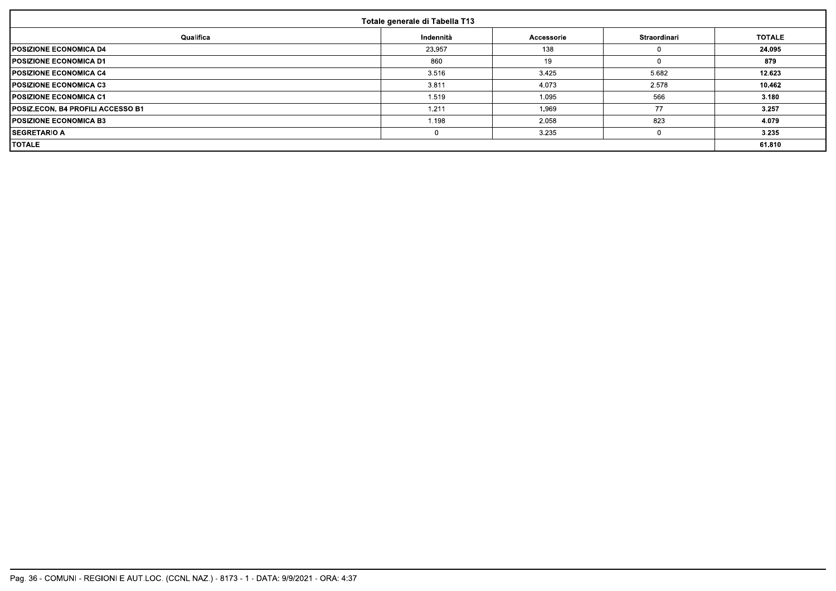| Totale generale di Tabella T13           |           |            |              |               |  |  |
|------------------------------------------|-----------|------------|--------------|---------------|--|--|
| Qualifica                                | Indennità | Accessorie | Straordinari | <b>TOTALE</b> |  |  |
| <b>POSIZIONE ECONOMICA D4</b>            | 23.957    | 138        |              | 24.095        |  |  |
| <b>POSIZIONE ECONOMICA D1</b>            | 860       | 19         |              | 879           |  |  |
| <b>IPOSIZIONE ECONOMICA C4</b>           | 3.516     | 3.425      | 5.682        | 12.623        |  |  |
| <b>POSIZIONE ECONOMICA C3</b>            | 3.811     | 4.073      | 2.578        | 10.462        |  |  |
| <b>IPOSIZIONE ECONOMICA C1</b>           | 1.519     | 1.095      | 566          | 3.180         |  |  |
| <b>POSIZ.ECON. B4 PROFILI ACCESSO B1</b> | 1.211     | 1.969      | 77           | 3.257         |  |  |
| <b>IPOSIZIONE ECONOMICA B3</b>           | 1.198     | 2.058      | 823          | 4.079         |  |  |
| <b>ISEGRETARIO A</b>                     |           | 3.235      |              | 3.235         |  |  |
| <b>TOTALE</b>                            |           |            |              |               |  |  |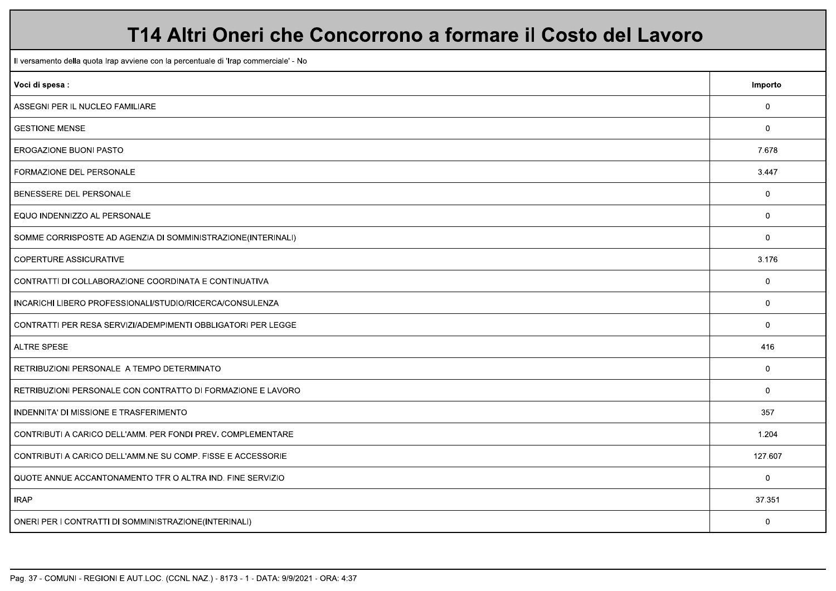### T14 Altri Oneri che Concorrono a formare il Costo del Lavoro

Il versamento della quota Irap avviene con la percentuale di 'Irap commerciale' - No Voci di spesa: Importo ASSEGNI PER IL NUCLEO FAMILIARE  $\overline{0}$ **GESTIONE MENSE**  $\overline{0}$ EROGAZIONE BUONI PASTO 7.678 FORMAZIONE DEL PERSONALE 3.447 BENESSERE DEL PERSONALE  $\overline{0}$  $\overline{0}$ EQUO INDENNIZZO AL PERSONALE SOMME CORRISPOSTE AD AGENZIA DI SOMMINISTRAZIONE(INTERINALI)  $\Omega$ **COPERTURE ASSICURATIVE** 3.176 CONTRATTI DI COLLABORAZIONE COORDINATA E CONTINUATIVA  $\overline{0}$ INCARICHI LIBERO PROFESSIONALI/STUDIO/RICERCA/CONSULENZA  $\overline{0}$  $\overline{0}$ CONTRATTI PER RESA SERVIZI/ADEMPIMENTI OBBLIGATORI PER LEGGE **ALTRE SPESE** 416 RETRIBUZIONI PERSONALE A TEMPO DETERMINATO  $\overline{0}$  $\overline{0}$ RETRIBUZIONI PERSONALE CON CONTRATTO DI FORMAZIONE E LAVORO INDENNITA' DI MISSIONE E TRASFERIMENTO 357 CONTRIBUTI A CARICO DELL'AMM. PER FONDI PREV. COMPLEMENTARE 1.204 127.607 CONTRIBUTI A CARICO DELL'AMM.NE SU COMP. FISSE E ACCESSORIE  $\mathbf 0$ QUOTE ANNUE ACCANTONAMENTO TFR O ALTRA IND. FINE SERVIZIO **IRAP** 37.351  $\overline{0}$ ONERI PER I CONTRATTI DI SOMMINISTRAZIONE(INTERINALI)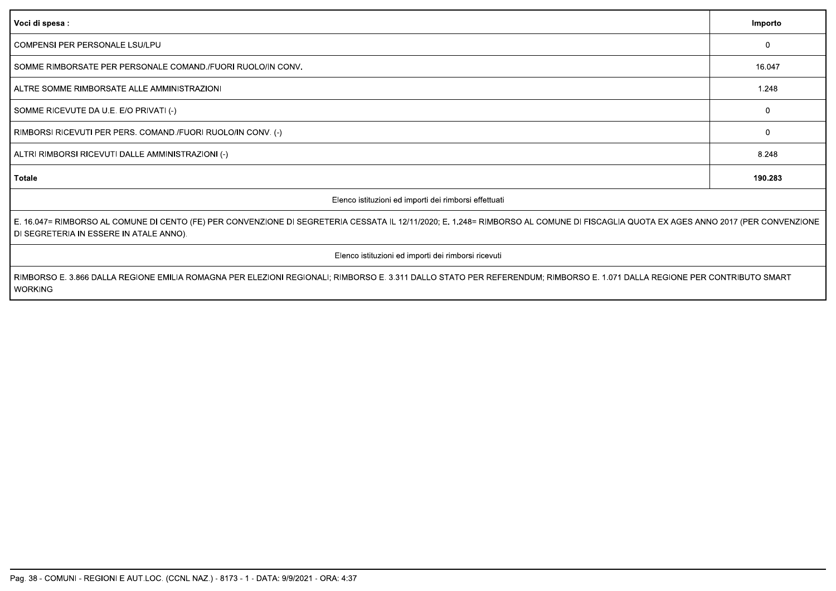| Voci di spesa :                                                                                                                                                                                                                | Importo      |  |  |
|--------------------------------------------------------------------------------------------------------------------------------------------------------------------------------------------------------------------------------|--------------|--|--|
| COMPENSI PER PERSONALE LSU/LPU                                                                                                                                                                                                 | $\Omega$     |  |  |
| SOMME RIMBORSATE PER PERSONALE COMAND. FUORI RUOLO/IN CONV.                                                                                                                                                                    | 16.047       |  |  |
| ALTRE SOMME RIMBORSATE ALLE AMMINISTRAZIONI                                                                                                                                                                                    | 1.248        |  |  |
| SOMME RICEVUTE DA U.E. E/O PRIVATI (-)                                                                                                                                                                                         | $\Omega$     |  |  |
| RIMBORSI RICEVUTI PER PERS. COMAND./FUORI RUOLO/IN CONV. (-)                                                                                                                                                                   | $\mathbf{0}$ |  |  |
| ALTRI RIMBORSI RICEVUTI DALLE AMMINISTRAZIONI (-)                                                                                                                                                                              | 8.248        |  |  |
| Totale                                                                                                                                                                                                                         | 190.283      |  |  |
| Elenco istituzioni ed importi dei rimborsi effettuati                                                                                                                                                                          |              |  |  |
| E. 16.047= RIMBORSO AL COMUNE DI CENTO (FE) PER CONVENZIONE DI SEGRETERIA CESSATA IL 12/11/2020; E. 1.248= RIMBORSO AL COMUNE DI FISCAGLIA QUOTA EX AGES ANNO 2017 (PER CONVENZIONE<br>DI SEGRETERIA IN ESSERE IN ATALE ANNO). |              |  |  |
| Elenco istituzioni ed importi dei rimborsi ricevuti                                                                                                                                                                            |              |  |  |
| RIMBORSO E. 3.866 DALLA REGIONE EMILIA ROMAGNA PER ELEZIONI REGIONALI; RIMBORSO E. 3.311 DALLO STATO PER REFERENDUM; RIMBORSO E. 1.071 DALLA REGIONE PER CONTRIBUTO SMART<br><b>WORKING</b>                                    |              |  |  |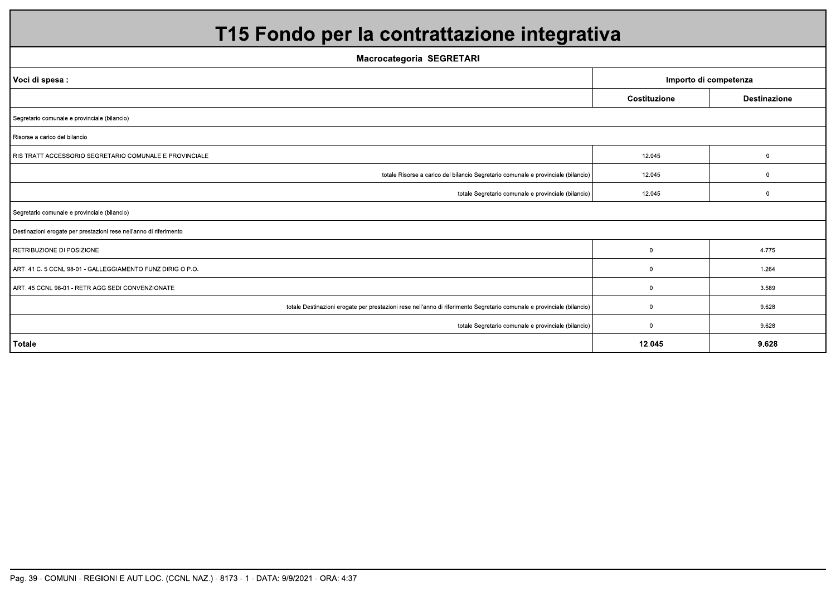| T15 Fondo per la contrattazione integrativa                                                                            |              |                     |  |  |  |
|------------------------------------------------------------------------------------------------------------------------|--------------|---------------------|--|--|--|
| <b>Macrocategoria SEGRETARI</b>                                                                                        |              |                     |  |  |  |
| Voci di spesa:<br>Importo di competenza                                                                                |              |                     |  |  |  |
|                                                                                                                        | Costituzione | <b>Destinazione</b> |  |  |  |
| Segretario comunale e provinciale (bilancio)                                                                           |              |                     |  |  |  |
| Risorse a carico del bilancio                                                                                          |              |                     |  |  |  |
| RIS TRATT ACCESSORIO SEGRETARIO COMUNALE E PROVINCIALE                                                                 | 12.045       | $\mathbf{0}$        |  |  |  |
| totale Risorse a carico del bilancio Segretario comunale e provinciale (bilancio)                                      | 12.045       | $\mathbf 0$         |  |  |  |
| totale Segretario comunale e provinciale (bilancio)                                                                    | 12.045       | $\mathbf 0$         |  |  |  |
| Segretario comunale e provinciale (bilancio)                                                                           |              |                     |  |  |  |
| Destinazioni erogate per prestazioni rese nell'anno di riferimento                                                     |              |                     |  |  |  |
| RETRIBUZIONE DI POSIZIONE                                                                                              | 0            | 4.775               |  |  |  |
| ART. 41 C. 5 CCNL 98-01 - GALLEGGIAMENTO FUNZ DIRIG O P.O.                                                             | $\mathbf 0$  | 1.264               |  |  |  |
| ART. 45 CCNL 98-01 - RETR AGG SEDI CONVENZIONATE                                                                       | $\Omega$     | 3.589               |  |  |  |
| totale Destinazioni erogate per prestazioni rese nell'anno di riferimento Segretario comunale e provinciale (bilancio) | $\mathbf 0$  | 9.628               |  |  |  |
| totale Segretario comunale e provinciale (bilancio)                                                                    | $\mathbf 0$  | 9.628               |  |  |  |
| <b>Totale</b>                                                                                                          | 12.045       | 9.628               |  |  |  |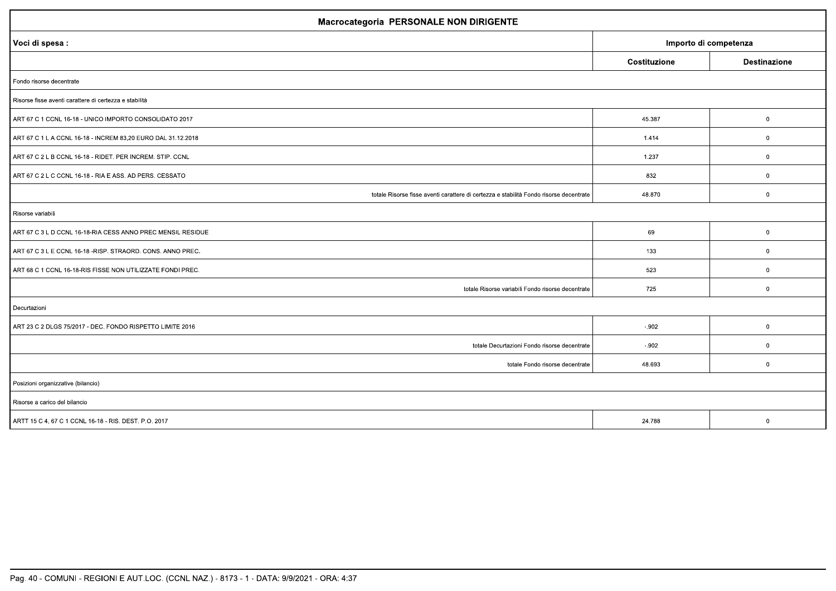| Macrocategoria PERSONALE NON DIRIGENTE                                                 |              |                     |  |  |
|----------------------------------------------------------------------------------------|--------------|---------------------|--|--|
| Importo di competenza<br>Voci di spesa :                                               |              |                     |  |  |
|                                                                                        | Costituzione | <b>Destinazione</b> |  |  |
| Fondo risorse decentrate                                                               |              |                     |  |  |
| Risorse fisse aventi carattere di certezza e stabilità                                 |              |                     |  |  |
| ART 67 C 1 CCNL 16-18 - UNICO IMPORTO CONSOLIDATO 2017                                 | 45.387       | $\mathbf 0$         |  |  |
| ART 67 C 1 L A CCNL 16-18 - INCREM 83,20 EURO DAL 31.12.2018                           | 1.414        | $\mathbf 0$         |  |  |
| ART 67 C 2 L B CCNL 16-18 - RIDET. PER INCREM. STIP. CCNL                              | 1.237        | $\overline{0}$      |  |  |
| ART 67 C 2 L C CCNL 16-18 - RIA E ASS. AD PERS. CESSATO                                | 832          | $\boldsymbol{0}$    |  |  |
| totale Risorse fisse aventi carattere di certezza e stabilità Fondo risorse decentrate | 48.870       | $\mathbf 0$         |  |  |
| Risorse variabili                                                                      |              |                     |  |  |
| ART 67 C 3 L D CCNL 16-18-RIA CESS ANNO PREC MENSIL RESIDUE                            | 69           | $\boldsymbol{0}$    |  |  |
| ART 67 C 3 L E CCNL 16-18 -RISP. STRAORD. CONS. ANNO PREC.                             | 133          | $\mathbf 0$         |  |  |
| ART 68 C 1 CCNL 16-18-RIS FISSE NON UTILIZZATE FONDI PREC.                             | 523          | $\overline{0}$      |  |  |
| totale Risorse variabili Fondo risorse decentrate                                      | 725          | $\mathbf 0$         |  |  |
| Decurtazioni                                                                           |              |                     |  |  |
| ART 23 C 2 DLGS 75/2017 - DEC. FONDO RISPETTO LIMITE 2016                              | $-.902$      | $\overline{0}$      |  |  |
| totale Decurtazioni Fondo risorse decentrate                                           | $-.902$      | $\mathbf 0$         |  |  |
| totale Fondo risorse decentrate                                                        | 48.693       | $\mathbf 0$         |  |  |
| Posizioni organizzative (bilancio)                                                     |              |                     |  |  |
| Risorse a carico del bilancio                                                          |              |                     |  |  |
| ARTT 15 C 4, 67 C 1 CCNL 16-18 - RIS. DEST. P.O. 2017                                  | 24.788       | $\mathbf 0$         |  |  |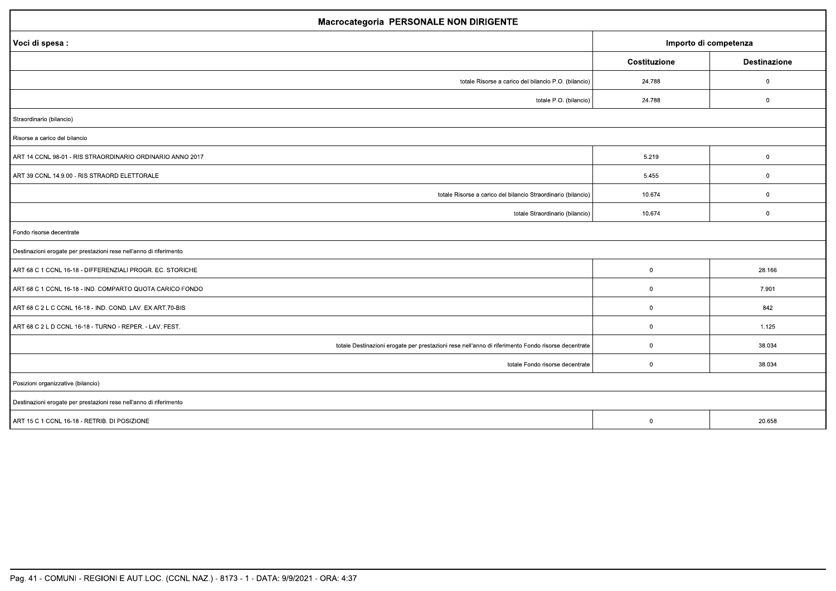| <b>Macrocategoria PERSONALE NON DIRIGENTE</b>                                                      |                |                     |  |  |
|----------------------------------------------------------------------------------------------------|----------------|---------------------|--|--|
| Importo di competenza<br>Voci di spesa :                                                           |                |                     |  |  |
|                                                                                                    | Costituzione   | <b>Destinazione</b> |  |  |
| totale Risorse a carico del bilancio P.O. (bilancio)                                               | 24.788         | $\mathbf{0}$        |  |  |
| totale P.O. (bilancio)                                                                             | 24.788         | $\boldsymbol{0}$    |  |  |
| Straordinario (bilancio)                                                                           |                |                     |  |  |
| Risorse a carico del bilancio                                                                      |                |                     |  |  |
| ART 14 CCNL 98-01 - RIS STRAORDINARIO ORDINARIO ANNO 2017                                          | 5.219          | $\boldsymbol{0}$    |  |  |
| ART 39 CCNL 14.9.00 - RIS STRAORD ELETTORALE                                                       | 5.455          | $\mathbf{0}$        |  |  |
| totale Risorse a carico del bilancio Straordinario (bilancio)                                      | 10.674         | $\mathbf{0}$        |  |  |
| totale Straordinario (bilancio)                                                                    | 10.674         | $\mathbf 0$         |  |  |
| Fondo risorse decentrate                                                                           |                |                     |  |  |
| Destinazioni erogate per prestazioni rese nell'anno di riferimento                                 |                |                     |  |  |
| ART 68 C 1 CCNL 16-18 - DIFFERENZIALI PROGR. EC. STORICHE                                          | $\overline{0}$ | 28.166              |  |  |
| ART 68 C 1 CCNL 16-18 - IND. COMPARTO QUOTA CARICO FONDO                                           | $\overline{0}$ | 7.901               |  |  |
| ART 68 C 2 L C CCNL 16-18 - IND. COND. LAV. EX ART.70-BIS                                          | $\overline{0}$ | 842                 |  |  |
| ART 68 C 2 L D CCNL 16-18 - TURNO - REPER. - LAV. FEST.                                            | $\overline{0}$ | 1.125               |  |  |
| totale Destinazioni erogate per prestazioni rese nell'anno di riferimento Fondo risorse decentrate | $\overline{0}$ | 38.034              |  |  |
| totale Fondo risorse decentrate                                                                    | $\overline{0}$ | 38.034              |  |  |
| Posizioni organizzative (bilancio)                                                                 |                |                     |  |  |
| Destinazioni erogate per prestazioni rese nell'anno di riferimento                                 |                |                     |  |  |
| ART 15 C 1 CCNL 16-18 - RETRIB. DI POSIZIONE                                                       | $\mathbf 0$    | 20.658              |  |  |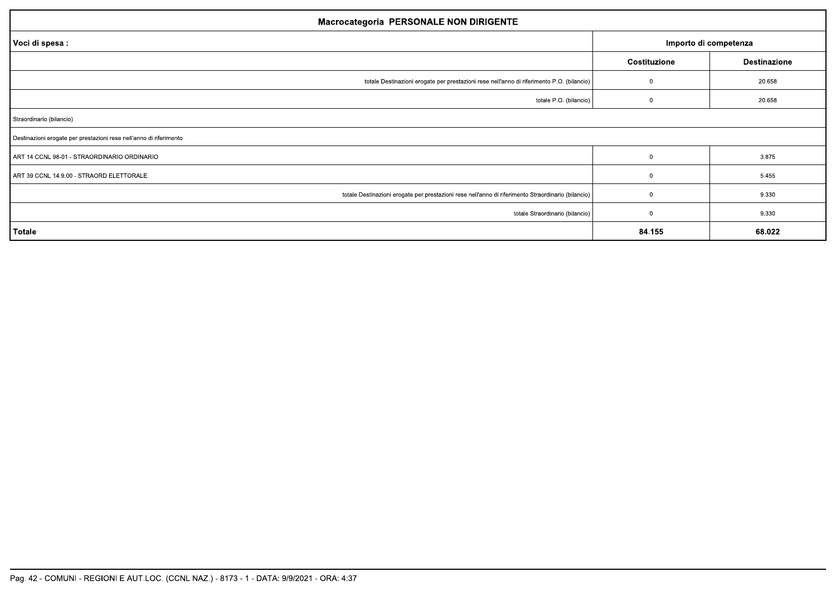| <b>Macrocategoria PERSONALE NON DIRIGENTE</b>                                                      |                       |                     |  |  |  |
|----------------------------------------------------------------------------------------------------|-----------------------|---------------------|--|--|--|
| Voci di spesa :                                                                                    | Importo di competenza |                     |  |  |  |
|                                                                                                    | Costituzione          | <b>Destinazione</b> |  |  |  |
| totale Destinazioni erogate per prestazioni rese nell'anno di riferimento P.O. (bilancio)          | $\Omega$              | 20.658              |  |  |  |
| totale P.O. (bilancio)                                                                             |                       | 20.658              |  |  |  |
| Straordinario (bilancio)                                                                           |                       |                     |  |  |  |
| Destinazioni erogate per prestazioni rese nell'anno di riferimento                                 |                       |                     |  |  |  |
| ART 14 CCNL 98-01 - STRAORDINARIO ORDINARIO                                                        | $\Omega$              | 3.875               |  |  |  |
| ART 39 CCNL 14.9.00 - STRAORD ELETTORALE                                                           | $^{\circ}$            | 5.455               |  |  |  |
| totale Destinazioni erogate per prestazioni rese nell'anno di riferimento Straordinario (bilancio) | $\Omega$              | 9.330               |  |  |  |
| totale Straordinario (bilancio)                                                                    | - 0                   | 9.330               |  |  |  |
| Totale                                                                                             | 84.155                | 68.022              |  |  |  |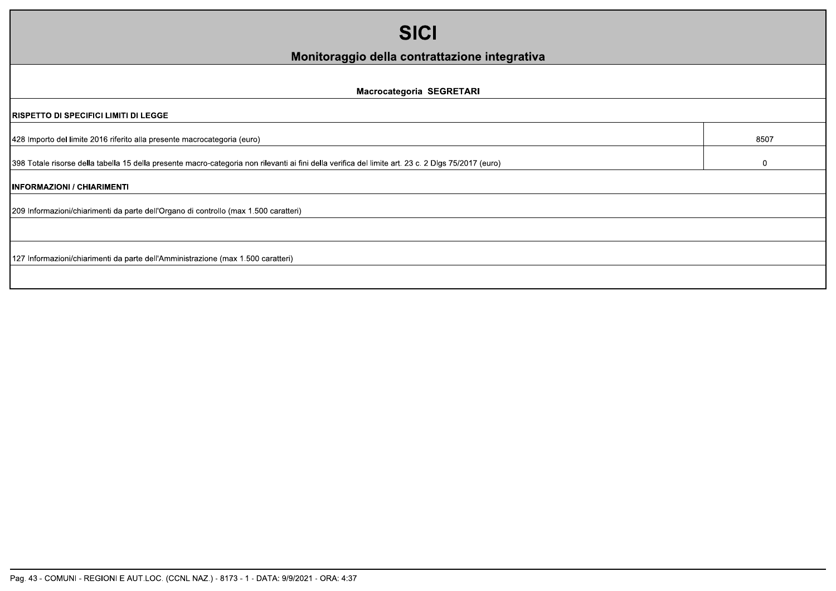| <b>SICI</b>                                                                                                                                         |              |  |  |  |
|-----------------------------------------------------------------------------------------------------------------------------------------------------|--------------|--|--|--|
| Monitoraggio della contrattazione integrativa                                                                                                       |              |  |  |  |
| Macrocategoria SEGRETARI                                                                                                                            |              |  |  |  |
| <b>RISPETTO DI SPECIFICI LIMITI DI LEGGE</b>                                                                                                        |              |  |  |  |
| 428 Importo del limite 2016 riferito alla presente macrocategoria (euro)                                                                            | 8507         |  |  |  |
| 398 Totale risorse della tabella 15 della presente macro-categoria non rilevanti ai fini della verifica del limite art. 23 c. 2 Dlgs 75/2017 (euro) | $\mathbf{0}$ |  |  |  |
| <b>INFORMAZIONI / CHIARIMENTI</b>                                                                                                                   |              |  |  |  |
| 209 Informazioni/chiarimenti da parte dell'Organo di controllo (max 1.500 caratteri)                                                                |              |  |  |  |
|                                                                                                                                                     |              |  |  |  |
| 127 Informazioni/chiarimenti da parte dell'Amministrazione (max 1.500 caratteri)                                                                    |              |  |  |  |
|                                                                                                                                                     |              |  |  |  |
|                                                                                                                                                     |              |  |  |  |
|                                                                                                                                                     |              |  |  |  |
|                                                                                                                                                     |              |  |  |  |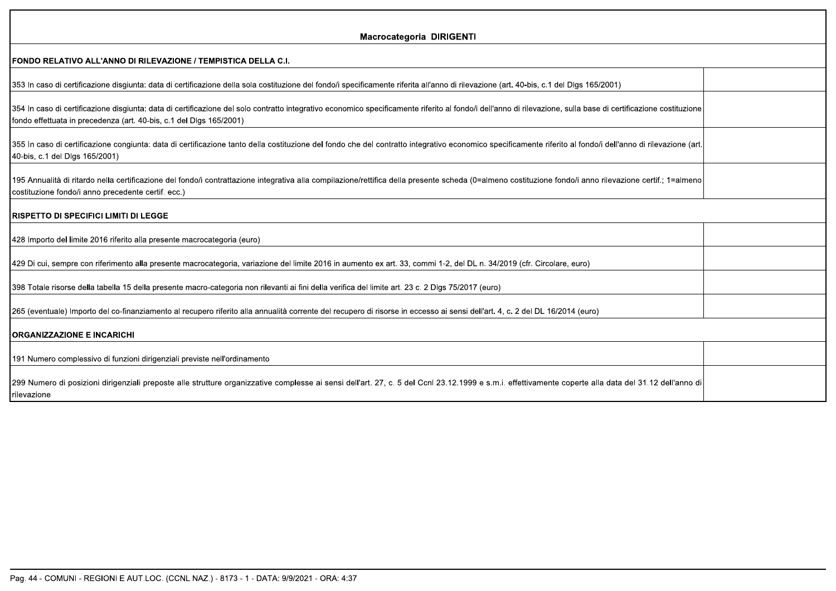| Macrocategoria DIRIGENTI<br>FONDO RELATIVO ALL'ANNO DI RILEVAZIONE / TEMPISTICA DELLA C.I.<br>353 In caso di certificazione disgiunta: data di certificazione della sola costituzione del fondo/i specificamente riferita all'anno di rilevazione (art. 40-bis, c.1 del Dlgs 165/2001)<br>354 In caso di certificazione disgiunta: data di certificazione del solo contratto integrativo economico specificamente riferito al fondo/i dell'anno di rilevazione, sulla base di certificazione costituzione<br>fondo effettuata in precedenza (art. 40-bis, c.1 del Dlgs 165/2001)<br>355 In caso di certificazione congiunta: data di certificazione tanto della costituzione del fondo che del contratto integrativo economico specificamente riferito al fondo/i dell'anno di rilevazione (art<br>40-bis, c.1 del Dlgs 165/2001)<br>195 Annualità di ritardo nella certificazione del fondo/i contrattazione integrativa alla compilazione/rettifica della presente scheda (0=almeno costituzione fondo/i anno rilevazione certif.; 1=almeno<br>costituzione fondo/i anno precedente certif. ecc.) |
|-----------------------------------------------------------------------------------------------------------------------------------------------------------------------------------------------------------------------------------------------------------------------------------------------------------------------------------------------------------------------------------------------------------------------------------------------------------------------------------------------------------------------------------------------------------------------------------------------------------------------------------------------------------------------------------------------------------------------------------------------------------------------------------------------------------------------------------------------------------------------------------------------------------------------------------------------------------------------------------------------------------------------------------------------------------------------------------------------------|
|                                                                                                                                                                                                                                                                                                                                                                                                                                                                                                                                                                                                                                                                                                                                                                                                                                                                                                                                                                                                                                                                                                     |
|                                                                                                                                                                                                                                                                                                                                                                                                                                                                                                                                                                                                                                                                                                                                                                                                                                                                                                                                                                                                                                                                                                     |
|                                                                                                                                                                                                                                                                                                                                                                                                                                                                                                                                                                                                                                                                                                                                                                                                                                                                                                                                                                                                                                                                                                     |
|                                                                                                                                                                                                                                                                                                                                                                                                                                                                                                                                                                                                                                                                                                                                                                                                                                                                                                                                                                                                                                                                                                     |
|                                                                                                                                                                                                                                                                                                                                                                                                                                                                                                                                                                                                                                                                                                                                                                                                                                                                                                                                                                                                                                                                                                     |
|                                                                                                                                                                                                                                                                                                                                                                                                                                                                                                                                                                                                                                                                                                                                                                                                                                                                                                                                                                                                                                                                                                     |
|                                                                                                                                                                                                                                                                                                                                                                                                                                                                                                                                                                                                                                                                                                                                                                                                                                                                                                                                                                                                                                                                                                     |
| <b>RISPETTO DI SPECIFICI LIMITI DI LEGGE</b>                                                                                                                                                                                                                                                                                                                                                                                                                                                                                                                                                                                                                                                                                                                                                                                                                                                                                                                                                                                                                                                        |
| 428 Importo del limite 2016 riferito alla presente macrocategoria (euro)                                                                                                                                                                                                                                                                                                                                                                                                                                                                                                                                                                                                                                                                                                                                                                                                                                                                                                                                                                                                                            |
| 429 Di cui, sempre con riferimento alla presente macrocategoria, variazione del limite 2016 in aumento ex art. 33, commi 1-2, del DL n. 34/2019 (cfr. Circolare, euro)                                                                                                                                                                                                                                                                                                                                                                                                                                                                                                                                                                                                                                                                                                                                                                                                                                                                                                                              |
| 398 Totale risorse della tabella 15 della presente macro-categoria non rilevanti ai fini della verifica del limite art. 23 c. 2 Dlgs 75/2017 (euro)                                                                                                                                                                                                                                                                                                                                                                                                                                                                                                                                                                                                                                                                                                                                                                                                                                                                                                                                                 |
| 265 (eventuale) Importo del co-finanziamento al recupero riferito alla annualità corrente del recupero di risorse in eccesso ai sensi dell'art. 4, c. 2 del DL 16/2014 (euro)                                                                                                                                                                                                                                                                                                                                                                                                                                                                                                                                                                                                                                                                                                                                                                                                                                                                                                                       |
| <b>ORGANIZZAZIONE E INCARICHI</b>                                                                                                                                                                                                                                                                                                                                                                                                                                                                                                                                                                                                                                                                                                                                                                                                                                                                                                                                                                                                                                                                   |
| 191 Numero complessivo di funzioni dirigenziali previste nell'ordinamento                                                                                                                                                                                                                                                                                                                                                                                                                                                                                                                                                                                                                                                                                                                                                                                                                                                                                                                                                                                                                           |
| 299 Numero di posizioni dirigenziali preposte alle strutture organizzative complesse ai sensi dell'art. 27, c. 5 del Ccnl 23.12.1999 e s.m.i. effettivamente coperte alla data del 31.12 dell'anno di<br>rilevazione                                                                                                                                                                                                                                                                                                                                                                                                                                                                                                                                                                                                                                                                                                                                                                                                                                                                                |
|                                                                                                                                                                                                                                                                                                                                                                                                                                                                                                                                                                                                                                                                                                                                                                                                                                                                                                                                                                                                                                                                                                     |
|                                                                                                                                                                                                                                                                                                                                                                                                                                                                                                                                                                                                                                                                                                                                                                                                                                                                                                                                                                                                                                                                                                     |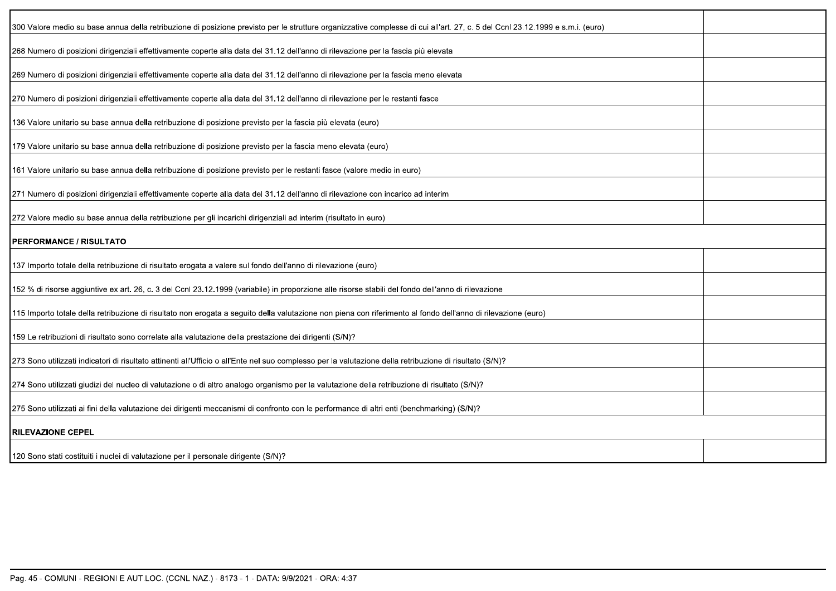| 300 Valore medio su base annua della retribuzione di posizione previsto per le strutture organizzative complesse di cui all'art. 27, c. 5 del Ccnl 23.12.1999 e s.m.i. (euro) |  |
|-------------------------------------------------------------------------------------------------------------------------------------------------------------------------------|--|
| 268 Numero di posizioni dirigenziali effettivamente coperte alla data del 31.12 dell'anno di rilevazione per la fascia più elevata                                            |  |
| 269 Numero di posizioni dirigenziali effettivamente coperte alla data del 31.12 dell'anno di rilevazione per la fascia meno elevata                                           |  |
| 270 Numero di posizioni dirigenziali effettivamente coperte alla data del 31.12 dell'anno di rilevazione per le restanti fasce                                                |  |
| 136 Valore unitario su base annua della retribuzione di posizione previsto per la fascia più elevata (euro)                                                                   |  |
| 179 Valore unitario su base annua della retribuzione di posizione previsto per la fascia meno elevata (euro)                                                                  |  |
| 161 Valore unitario su base annua della retribuzione di posizione previsto per le restanti fasce (valore medio in euro)                                                       |  |
| 271 Numero di posizioni dirigenziali effettivamente coperte alla data del 31.12 dell'anno di rilevazione con incarico ad interim                                              |  |
| [272 Valore medio su base annua della retribuzione per gli incarichi dirigenziali ad interim (risultato in euro)                                                              |  |
| <b>PERFORMANCE / RISULTATO</b>                                                                                                                                                |  |
| 137 Importo totale della retribuzione di risultato erogata a valere sul fondo dell'anno di rilevazione (euro)                                                                 |  |
| 152 % di risorse aggiuntive ex art. 26, c. 3 del Ccnl 23.12.1999 (variabile) in proporzione alle risorse stabili del fondo dell'anno di rilevazione                           |  |
| 115 Importo totale della retribuzione di risultato non erogata a seguito della valutazione non piena con riferimento al fondo dell'anno di rilevazione (euro)                 |  |
| 159 Le retribuzioni di risultato sono correlate alla valutazione della prestazione dei dirigenti (S/N)?                                                                       |  |
| 273 Sono utilizzati indicatori di risultato attinenti all'Ufficio o all'Ente nel suo complesso per la valutazione della retribuzione di risultato (S/N)?                      |  |
| 274 Sono utilizzati giudizi del nucleo di valutazione o di altro analogo organismo per la valutazione della retribuzione di risultato (S/N)?                                  |  |
| 275 Sono utilizzati ai fini della valutazione dei dirigenti meccanismi di confronto con le performance di altri enti (benchmarking) (S/N)?                                    |  |
| <b>RILEVAZIONE CEPEL</b>                                                                                                                                                      |  |
| 120 Sono stati costituiti i nuclei di valutazione per il personale dirigente (S/N)?                                                                                           |  |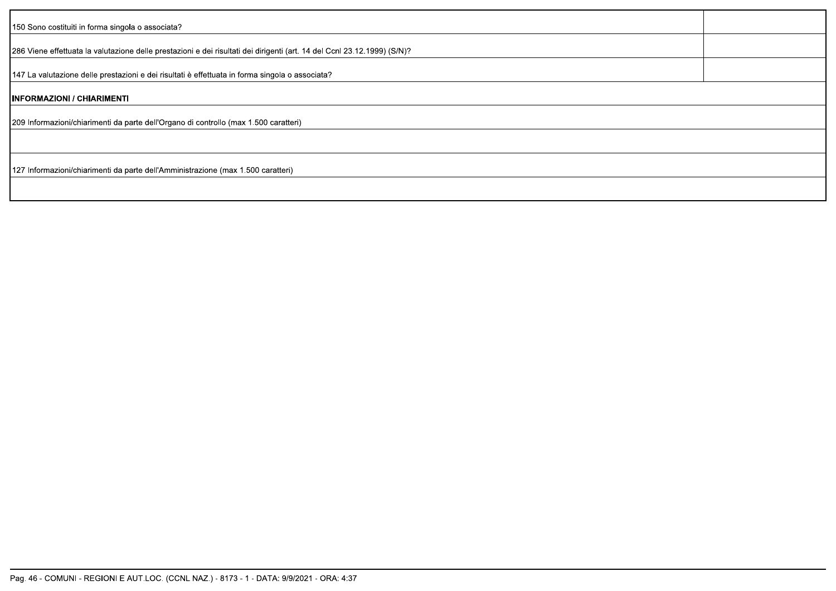| 150 Sono costituiti in forma singola o associata?                                                                        |  |
|--------------------------------------------------------------------------------------------------------------------------|--|
| 286 Viene effettuata la valutazione delle prestazioni e dei risultati dei dirigenti (art. 14 del Ccnl 23.12.1999) (S/N)? |  |
| 147 La valutazione delle prestazioni e dei risultati è effettuata in forma singola o associata?                          |  |
| INFORMAZIONI / CHIARIMENTI                                                                                               |  |
| 209 Informazioni/chiarimenti da parte dell'Organo di controllo (max 1.500 caratteri)                                     |  |
|                                                                                                                          |  |
| 127 Informazioni/chiarimenti da parte dell'Amministrazione (max 1.500 caratteri)                                         |  |
|                                                                                                                          |  |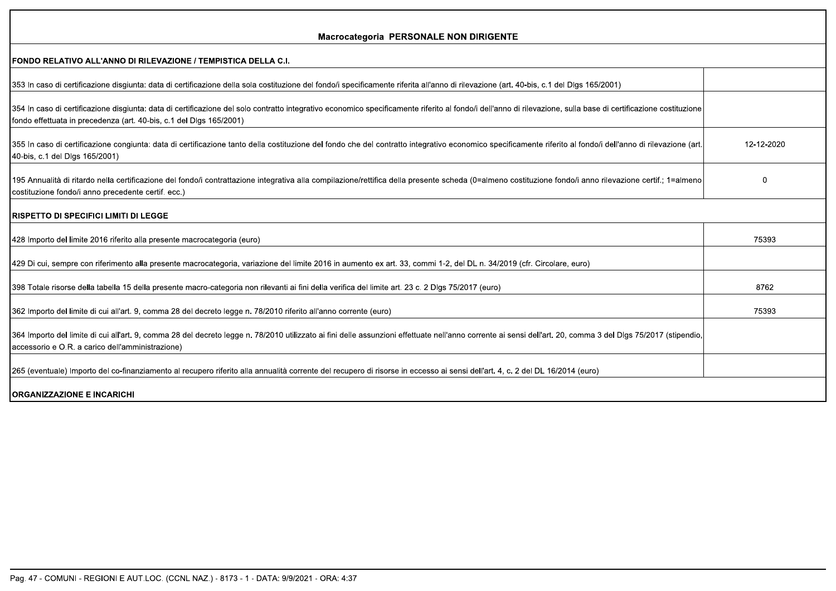| <b>Macrocategoria PERSONALE NON DIRIGENTE</b>                                                                                                                                                                                                                                          |            |
|----------------------------------------------------------------------------------------------------------------------------------------------------------------------------------------------------------------------------------------------------------------------------------------|------------|
| IFONDO RELATIVO ALL'ANNO DI RILEVAZIONE / TEMPISTICA DELLA C.I.                                                                                                                                                                                                                        |            |
| 353 In caso di certificazione disgiunta: data di certificazione della sola costituzione del fondo/i specificamente riferita all'anno di rilevazione (art. 40-bis, c.1 del Dlgs 165/2001)                                                                                               |            |
| 354 In caso di certificazione disgiunta: data di certificazione del solo contratto integrativo economico specificamente riferito al fondo/i dell'anno di rilevazione, sulla base di certificazione costituzione<br>fondo effettuata in precedenza (art. 40-bis, c.1 del Dlgs 165/2001) |            |
| 355 In caso di certificazione congiunta: data di certificazione tanto della costituzione del fondo che del contratto integrativo economico specificamente riferito al fondo/i dell'anno di rilevazione (art.<br>40-bis, c.1 del Dlgs 165/2001)                                         | 12-12-2020 |
| 195 Annualità di ritardo nella certificazione del fondo/i contrattazione integrativa alla compilazione/rettifica della presente scheda (0=almeno costituzione fondo/i anno rilevazione certif.; 1=almeno<br>costituzione fondo/i anno precedente certif. ecc.)                         | 0          |
| <b>IRISPETTO DI SPECIFICI LIMITI DI LEGGE</b>                                                                                                                                                                                                                                          |            |
| 428 Importo del limite 2016 riferito alla presente macrocategoria (euro)                                                                                                                                                                                                               | 75393      |
| 429 Di cui, sempre con riferimento alla presente macrocategoria, variazione del limite 2016 in aumento ex art. 33, commi 1-2, del DL n. 34/2019 (cfr. Circolare, euro)                                                                                                                 |            |
| 398 Totale risorse della tabella 15 della presente macro-categoria non rilevanti ai fini della verifica del limite art. 23 c. 2 Dlgs 75/2017 (euro)                                                                                                                                    | 8762       |
| 362 Importo del limite di cui all'art. 9, comma 28 del decreto legge n. 78/2010 riferito all'anno corrente (euro)                                                                                                                                                                      | 75393      |
| 364 Importo del limite di cui all'art. 9, comma 28 del decreto legge n. 78/2010 utilizzato ai fini delle assunzioni effettuate nell'anno corrente ai sensi dell'art. 20, comma 3 del Dlgs 75/2017 (stipendio,<br>accessorio e O.R. a carico dell'amministrazione)                      |            |
| 265 (eventuale) Importo del co-finanziamento al recupero riferito alla annualità corrente del recupero di risorse in eccesso ai sensi dell'art. 4, c. 2 del DL 16/2014 (euro)                                                                                                          |            |
| <b>IORGANIZZAZIONE E INCARICHI</b>                                                                                                                                                                                                                                                     |            |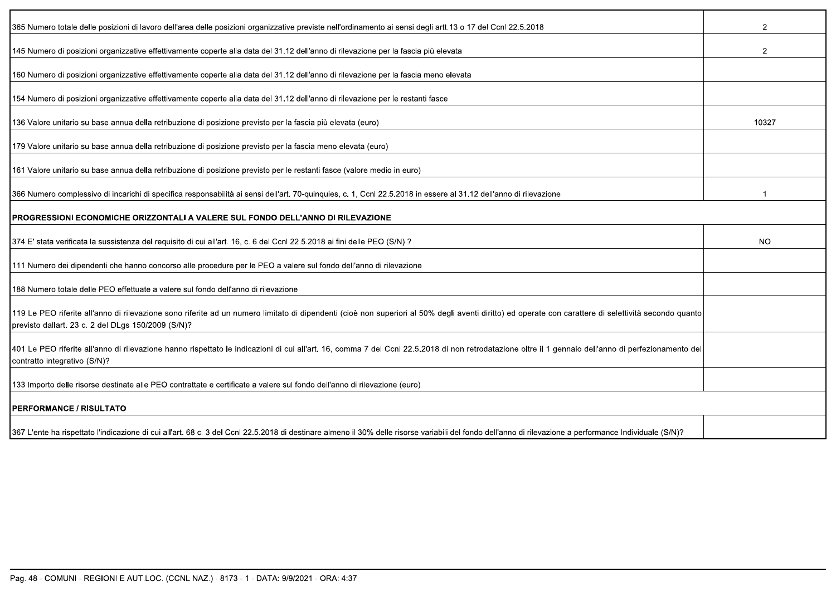| 365 Numero totale delle posizioni di lavoro dell'area delle posizioni organizzative previste nell'ordinamento ai sensi degli artt.13 o 17 del Ccnl 22.5.2018                                                                                                | $\overline{2}$ |  |
|-------------------------------------------------------------------------------------------------------------------------------------------------------------------------------------------------------------------------------------------------------------|----------------|--|
| 145 Numero di posizioni organizzative effettivamente coperte alla data del 31.12 dell'anno di rilevazione per la fascia più elevata                                                                                                                         | $\overline{2}$ |  |
| 160 Numero di posizioni organizzative effettivamente coperte alla data del 31.12 dell'anno di rilevazione per la fascia meno elevata                                                                                                                        |                |  |
| 154 Numero di posizioni organizzative effettivamente coperte alla data del 31.12 dell'anno di rilevazione per le restanti fasce                                                                                                                             |                |  |
| 136 Valore unitario su base annua della retribuzione di posizione previsto per la fascia più elevata (euro)                                                                                                                                                 | 10327          |  |
| 179 Valore unitario su base annua della retribuzione di posizione previsto per la fascia meno elevata (euro)                                                                                                                                                |                |  |
| 161 Valore unitario su base annua della retribuzione di posizione previsto per le restanti fasce (valore medio in euro)                                                                                                                                     |                |  |
| 366 Numero complessivo di incarichi di specifica responsabilità ai sensi dell'art. 70-quinquies, c. 1, Ccnl 22.5.2018 in essere al 31.12 dell'anno di rilevazione                                                                                           |                |  |
| I PROGRESSIONI ECONOMICHE ORIZZONTALI A VALERE SUL FONDO DELL'ANNO DI RILEVAZIONE                                                                                                                                                                           |                |  |
| 374 E' stata verificata la sussistenza del requisito di cui all'art. 16, c. 6 del Ccnl 22.5.2018 ai fini delle PEO (S/N)?                                                                                                                                   | NO.            |  |
| 111 Numero dei dipendenti che hanno concorso alle procedure per le PEO a valere sul fondo dell'anno di rilevazione                                                                                                                                          |                |  |
| 188 Numero totale delle PEO effettuate a valere sul fondo dell'anno di rilevazione                                                                                                                                                                          |                |  |
| 119 Le PEO riferite all'anno di rilevazione sono riferite ad un numero limitato di dipendenti (cioè non superiori al 50% degli aventi diritto) ed operate con carattere di selettività secondo quanto<br>previsto dallart. 23 c. 2 del DLgs 150/2009 (S/N)? |                |  |
| 401 Le PEO riferite all'anno di rilevazione hanno rispettato le indicazioni di cui all'art. 16, comma 7 del Ccnl 22.5.2018 di non retrodatazione oltre il 1 gennaio dell'anno di perfezionamento del<br>contratto integrativo (S/N)?                        |                |  |
| 133 Importo delle risorse destinate alle PEO contrattate e certificate a valere sul fondo dell'anno di rilevazione (euro)                                                                                                                                   |                |  |
| <b>PERFORMANCE / RISULTATO</b>                                                                                                                                                                                                                              |                |  |
| 367 L'ente ha rispettato l'indicazione di cui all'art. 68 c. 3 del Ccnl 22.5.2018 di destinare almeno il 30% delle risorse variabili del fondo dell'anno di rilevazione a performance Individuale (S/N)?                                                    |                |  |